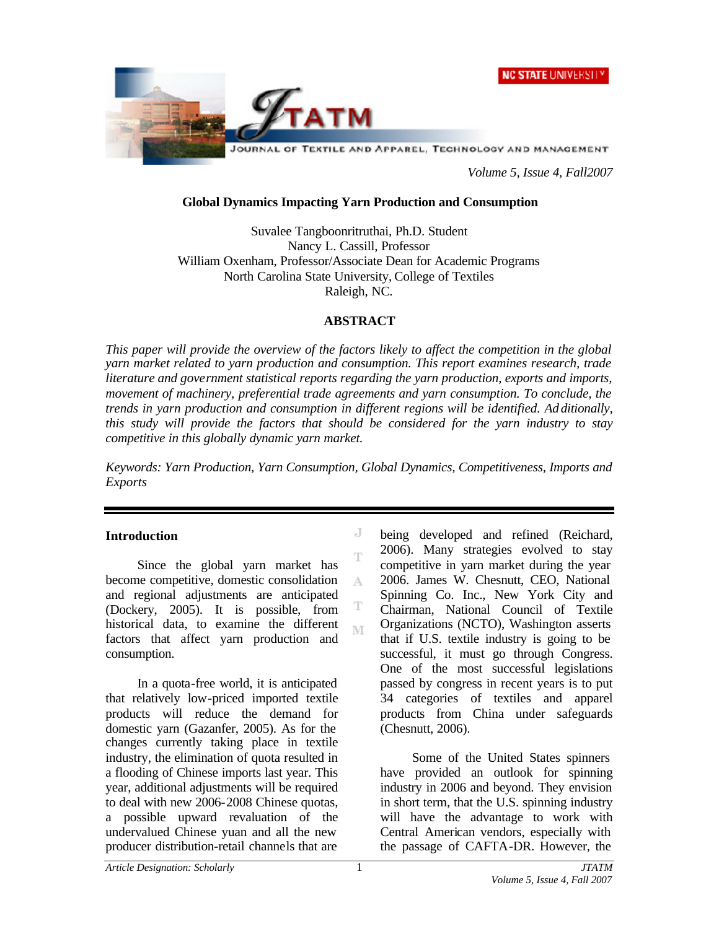



*Volume 5, Issue 4, Fall2007*

### **Global Dynamics Impacting Yarn Production and Consumption**

Suvalee Tangboonritruthai, Ph.D. Student Nancy L. Cassill, Professor William Oxenham, Professor/Associate Dean for Academic Programs North Carolina State University, College of Textiles Raleigh, NC.

### **ABSTRACT**

*This paper will provide the overview of the factors likely to affect the competition in the global yarn market related to yarn production and consumption. This report examines research, trade literature and government statistical reports regarding the yarn production, exports and imports, movement of machinery, preferential trade agreements and yarn consumption. To conclude, the trends in yarn production and consumption in different regions will be identified. Ad ditionally, this study will provide the factors that should be considered for the yarn industry to stay competitive in this globally dynamic yarn market.* 

*Keywords: Yarn Production, Yarn Consumption, Global Dynamics, Competitiveness, Imports and Exports*

> J T

A

T M

## **Introduction**

Since the global yarn market has become competitive, domestic consolidation and regional adjustments are anticipated (Dockery, 2005). It is possible, from historical data, to examine the different factors that affect yarn production and consumption.

In a quota-free world, it is anticipated that relatively low-priced imported textile products will reduce the demand for domestic yarn (Gazanfer, 2005). As for the changes currently taking place in textile industry, the elimination of quota resulted in a flooding of Chinese imports last year. This year, additional adjustments will be required to deal with new 2006-2008 Chinese quotas, a possible upward revaluation of the undervalued Chinese yuan and all the new producer distribution-retail channels that are

being developed and refined (Reichard, 2006). Many strategies evolved to stay competitive in yarn market during the year 2006. James W. Chesnutt, CEO, National Spinning Co. Inc., New York City and Chairman, National Council of Textile Organizations (NCTO), Washington asserts that if U.S. textile industry is going to be successful, it must go through Congress. One of the most successful legislations passed by congress in recent years is to put 34 categories of textiles and apparel products from China under safeguards (Chesnutt, 2006).

Some of the United States spinners have provided an outlook for spinning industry in 2006 and beyond. They envision in short term, that the U.S. spinning industry will have the advantage to work with Central American vendors, especially with the passage of CAFTA-DR. However, the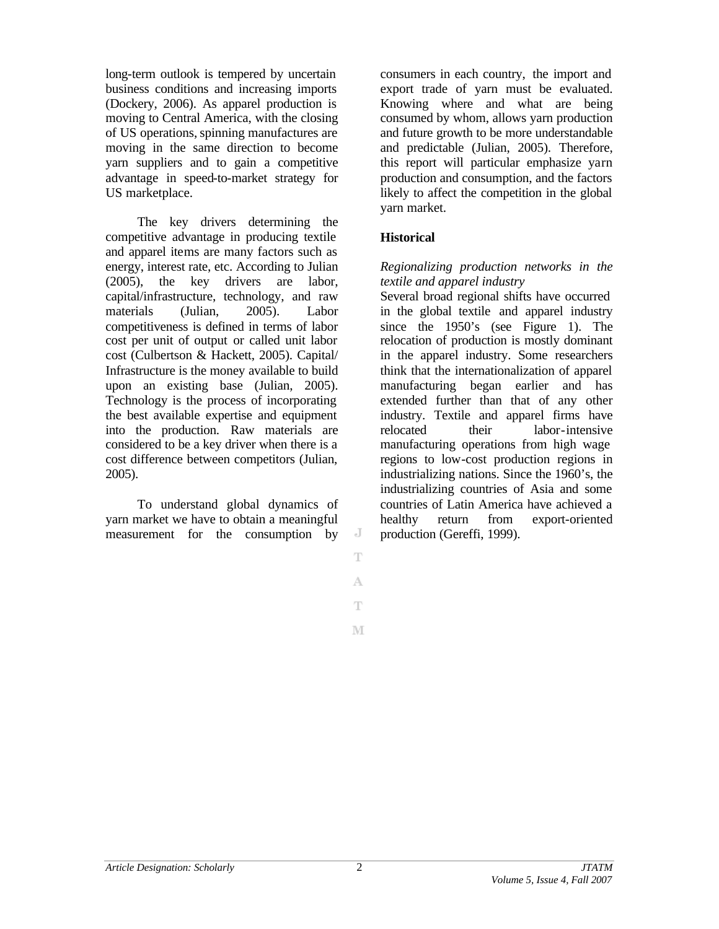long-term outlook is tempered by uncertain business conditions and increasing imports (Dockery, 2006). As apparel production is moving to Central America, with the closing of US operations,spinning manufactures are moving in the same direction to become yarn suppliers and to gain a competitive advantage in speed-to-market strategy for US marketplace.

The key drivers determining the competitive advantage in producing textile and apparel items are many factors such as energy, interest rate, etc. According to Julian (2005), the key drivers are labor, capital/infrastructure, technology, and raw materials (Julian, 2005). Labor competitiveness is defined in terms of labor cost per unit of output or called unit labor cost (Culbertson & Hackett, 2005). Capital/ Infrastructure is the money available to build upon an existing base (Julian, 2005). Technology is the process of incorporating the best available expertise and equipment into the production. Raw materials are considered to be a key driver when there is a cost difference between competitors (Julian, 2005).

To understand global dynamics of yarn market we have to obtain a meaningful measurement for the consumption by

consumers in each country, the import and export trade of yarn must be evaluated. Knowing where and what are being consumed by whom, allows yarn production and future growth to be more understandable and predictable (Julian, 2005). Therefore, this report will particular emphasize yarn production and consumption, and the factors likely to affect the competition in the global yarn market.

# **Historical**

### *Regionalizing production networks in the textile and apparel industry*

Several broad regional shifts have occurred in the global textile and apparel industry since the 1950's (see Figure 1). The relocation of production is mostly dominant in the apparel industry. Some researchers think that the internationalization of apparel manufacturing began earlier and has extended further than that of any other industry. Textile and apparel firms have relocated their labor-intensive manufacturing operations from high wage regions to low-cost production regions in industrializing nations. Since the 1960's, the industrializing countries of Asia and some countries of Latin America have achieved a healthy return from export-oriented production (Gereffi, 1999).

J T

A Ŧ

M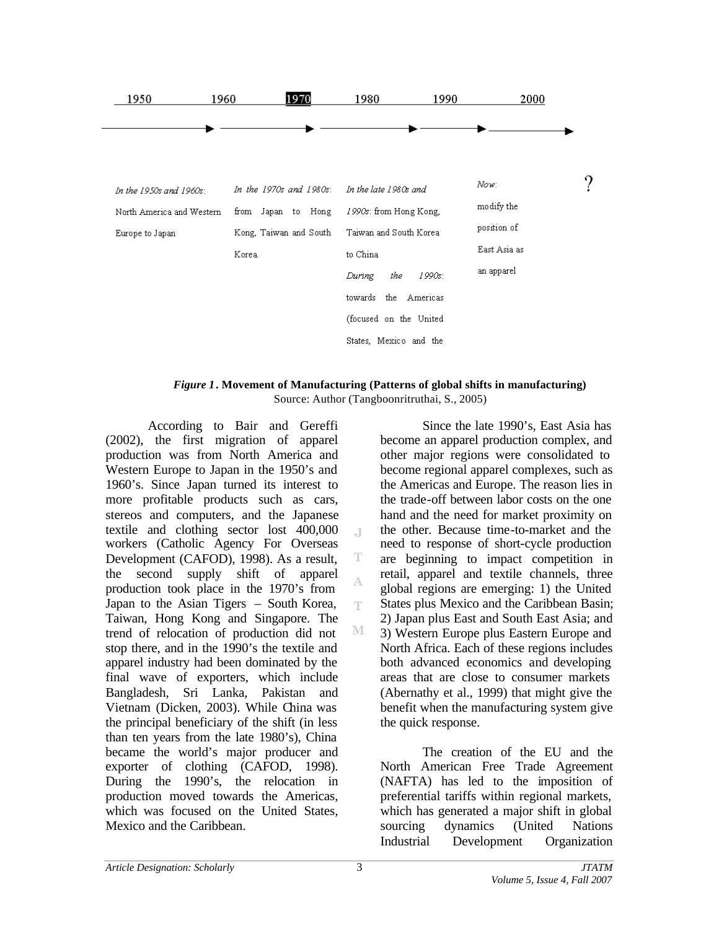

#### *Figure 1***. Movement of Manufacturing (Patterns of global shifts in manufacturing)** Source: Author (Tangboonritruthai, S., 2005)

J.

T A Ŧ

M

According to Bair and Gereffi (2002), the first migration of apparel production was from North America and Western Europe to Japan in the 1950's and 1960's. Since Japan turned its interest to more profitable products such as cars, stereos and computers, and the Japanese textile and clothing sector lost 400,000 workers (Catholic Agency For Overseas Development (CAFOD), 1998). As a result, the second supply shift of apparel production took place in the 1970's from Japan to the Asian Tigers – South Korea, Taiwan, Hong Kong and Singapore. The trend of relocation of production did not stop there, and in the 1990's the textile and apparel industry had been dominated by the final wave of exporters, which include Bangladesh, Sri Lanka, Pakistan and Vietnam (Dicken, 2003). While China was the principal beneficiary of the shift (in less than ten years from the late 1980's), China became the world's major producer and exporter of clothing (CAFOD, 1998). During the 1990's, the relocation in production moved towards the Americas, which was focused on the United States, Mexico and the Caribbean.

Since the late 1990's, East Asia has become an apparel production complex, and other major regions were consolidated to become regional apparel complexes, such as the Americas and Europe. The reason lies in the trade-off between labor costs on the one hand and the need for market proximity on the other. Because time-to-market and the need to response of short-cycle production are beginning to impact competition in retail, apparel and textile channels, three global regions are emerging: 1) the United States plus Mexico and the Caribbean Basin; 2) Japan plus East and South East Asia; and 3) Western Europe plus Eastern Europe and North Africa. Each of these regions includes both advanced economics and developing areas that are close to consumer markets (Abernathy et al., 1999) that might give the benefit when the manufacturing system give the quick response.

The creation of the EU and the North American Free Trade Agreement (NAFTA) has led to the imposition of preferential tariffs within regional markets, which has generated a major shift in global sourcing dynamics (United Nations Industrial Development Organization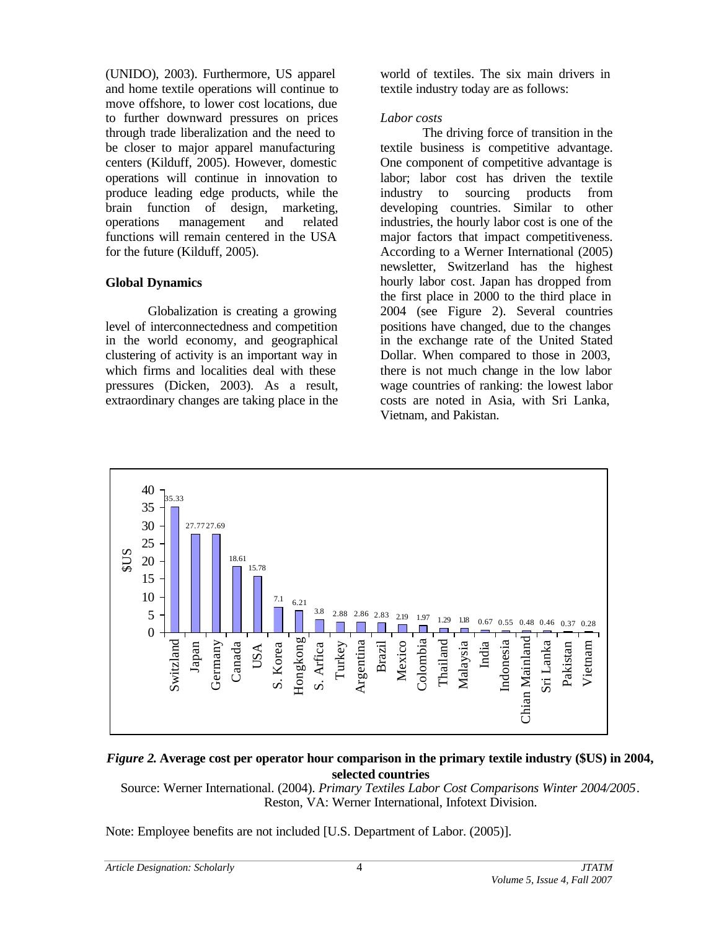(UNIDO), 2003). Furthermore, US apparel and home textile operations will continue to move offshore, to lower cost locations, due to further downward pressures on prices through trade liberalization and the need to be closer to major apparel manufacturing centers (Kilduff, 2005). However, domestic operations will continue in innovation to produce leading edge products, while the brain function of design, marketing, operations management and related functions will remain centered in the USA for the future (Kilduff, 2005).

## **Global Dynamics**

Globalization is creating a growing level of interconnectedness and competition in the world economy, and geographical clustering of activity is an important way in which firms and localities deal with these pressures (Dicken, 2003). As a result, extraordinary changes are taking place in the world of textiles. The six main drivers in textile industry today are as follows:

## *Labor costs*

The driving force of transition in the textile business is competitive advantage. One component of competitive advantage is labor; labor cost has driven the textile industry to sourcing products from developing countries. Similar to other industries, the hourly labor cost is one of the major factors that impact competitiveness. According to a Werner International (2005) newsletter, Switzerland has the highest hourly labor cost. Japan has dropped from the first place in 2000 to the third place in 2004 (see Figure 2). Several countries positions have changed, due to the changes in the exchange rate of the United Stated Dollar. When compared to those in 2003, there is not much change in the low labor wage countries of ranking: the lowest labor costs are noted in Asia, with Sri Lanka, Vietnam, and Pakistan.



# *Figure 2***. Average cost per operator hour comparison in the primary textile industry (\$US) in 2004, selected countries**

Source: Werner International. (2004). *Primary Textiles Labor Cost Comparisons Winter 2004/2005*. Reston, VA: Werner International, Infotext Division.

Note: Employee benefits are not included [U.S. Department of Labor. (2005)].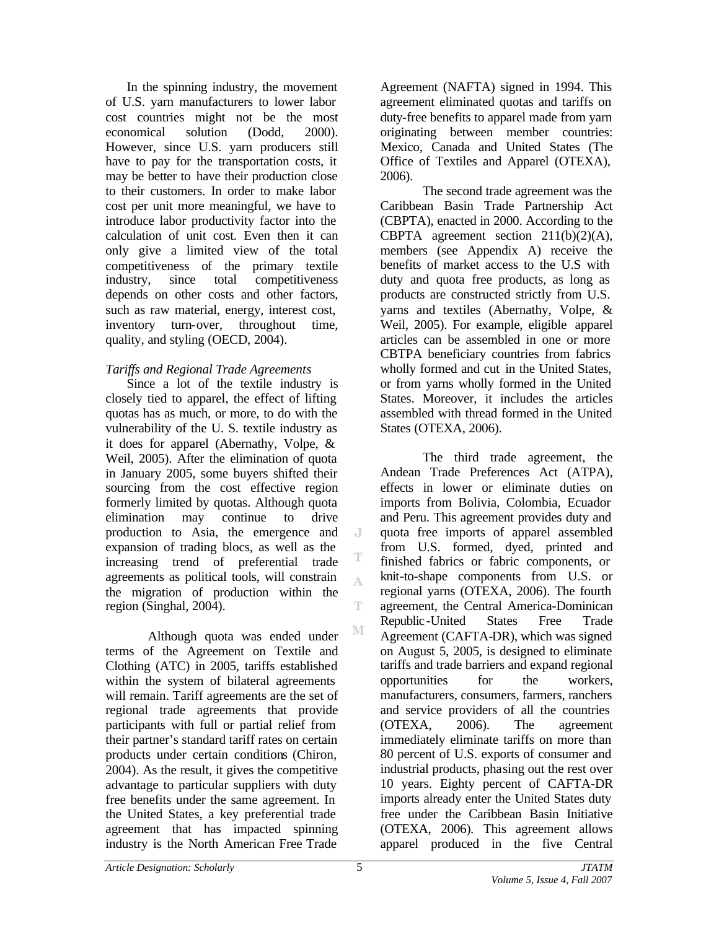In the spinning industry, the movement of U.S. yarn manufacturers to lower labor cost countries might not be the most economical solution (Dodd, 2000). However, since U.S. yarn producers still have to pay for the transportation costs, it may be better to have their production close to their customers. In order to make labor cost per unit more meaningful, we have to introduce labor productivity factor into the calculation of unit cost. Even then it can only give a limited view of the total competitiveness of the primary textile industry, since total competitiveness depends on other costs and other factors, such as raw material, energy, interest cost, inventory turn-over, throughout time, quality, and styling (OECD, 2004).

# *Tariffs and Regional Trade Agreements*

Since a lot of the textile industry is closely tied to apparel, the effect of lifting quotas has as much, or more, to do with the vulnerability of the U. S. textile industry as it does for apparel (Abernathy, Volpe, & Weil, 2005). After the elimination of quota in January 2005, some buyers shifted their sourcing from the cost effective region formerly limited by quotas. Although quota elimination may continue to drive production to Asia, the emergence and expansion of trading blocs, as well as the increasing trend of preferential trade agreements as political tools, will constrain the migration of production within the region (Singhal, 2004).

Although quota was ended under terms of the Agreement on Textile and Clothing (ATC) in 2005, tariffs established within the system of bilateral agreements will remain. Tariff agreements are the set of regional trade agreements that provide participants with full or partial relief from their partner's standard tariff rates on certain products under certain conditions (Chiron, 2004). As the result, it gives the competitive advantage to particular suppliers with duty free benefits under the same agreement. In the United States, a key preferential trade agreement that has impacted spinning industry is the North American Free Trade

Agreement (NAFTA) signed in 1994. This agreement eliminated quotas and tariffs on duty-free benefits to apparel made from yarn originating between member countries: Mexico, Canada and United States (The Office of Textiles and Apparel (OTEXA), 2006).

The second trade agreement was the Caribbean Basin Trade Partnership Act (CBPTA), enacted in 2000. According to the CBPTA agreement section  $211(b)(2)(A)$ , members (see Appendix A) receive the benefits of market access to the U.S with duty and quota free products, as long as products are constructed strictly from U.S. yarns and textiles (Abernathy, Volpe, & Weil, 2005). For example, eligible apparel articles can be assembled in one or more CBTPA beneficiary countries from fabrics wholly formed and cut in the United States, or from yarns wholly formed in the United States. Moreover, it includes the articles assembled with thread formed in the United States (OTEXA, 2006).

The third trade agreement, the Andean Trade Preferences Act (ATPA), effects in lower or eliminate duties on imports from Bolivia, Colombia, Ecuador and Peru. This agreement provides duty and quota free imports of apparel assembled from U.S. formed, dyed, printed and finished fabrics or fabric components, or knit-to-shape components from U.S. or regional yarns (OTEXA, 2006). The fourth agreement, the Central America-Dominican Republic-United States Free Trade Agreement (CAFTA-DR), which was signed on August 5, 2005, is designed to eliminate tariffs and trade barriers and expand regional opportunities for the workers, manufacturers, consumers, farmers, ranchers and service providers of all the countries (OTEXA, 2006). The agreement immediately eliminate tariffs on more than 80 percent of U.S. exports of consumer and industrial products, phasing out the rest over 10 years. Eighty percent of CAFTA-DR imports already enter the United States duty free under the Caribbean Basin Initiative (OTEXA, 2006). This agreement allows apparel produced in the five Central

 $\overline{A}$ 

A

T

M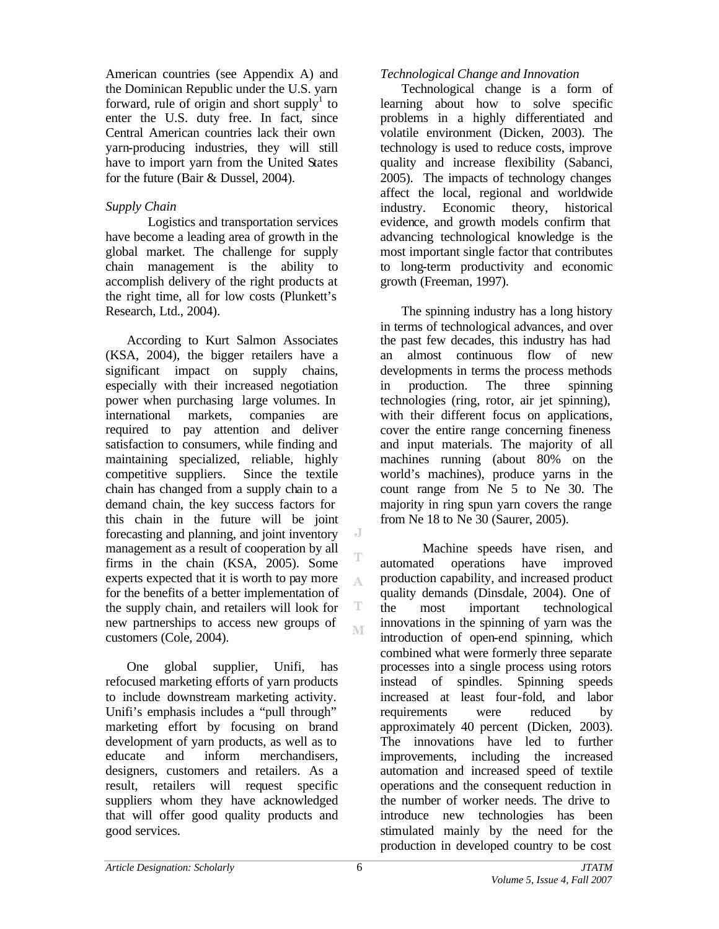American countries (see Appendix A) and the Dominican Republic under the U.S. yarn forward, rule of origin and short supply<sup>1</sup> to enter the U.S. duty free. In fact, since Central American countries lack their own yarn-producing industries, they will still have to import yarn from the United States for the future (Bair & Dussel, 2004).

# *Supply Chain*

Logistics and transportation services have become a leading area of growth in the global market. The challenge for supply chain management is the ability to accomplish delivery of the right products at the right time, all for low costs (Plunkett's Research, Ltd., 2004).

According to Kurt Salmon Associates (KSA, 2004), the bigger retailers have a significant impact on supply chains, especially with their increased negotiation power when purchasing large volumes. In international markets, companies are required to pay attention and deliver satisfaction to consumers, while finding and maintaining specialized, reliable, highly competitive suppliers. Since the textile chain has changed from a supply chain to a demand chain, the key success factors for this chain in the future will be joint forecasting and planning, and joint inventory management as a result of cooperation by all firms in the chain (KSA, 2005). Some experts expected that it is worth to pay more for the benefits of a better implementation of the supply chain, and retailers will look for new partnerships to access new groups of customers (Cole, 2004).

One global supplier, Unifi, has refocused marketing efforts of yarn products to include downstream marketing activity. Unifi's emphasis includes a "pull through" marketing effort by focusing on brand development of yarn products, as well as to educate and inform merchandisers, designers, customers and retailers. As a result, retailers will request specific suppliers whom they have acknowledged that will offer good quality products and good services.

# *Technological Change and Innovation*

Technological change is a form of learning about how to solve specific problems in a highly differentiated and volatile environment (Dicken, 2003). The technology is used to reduce costs, improve quality and increase flexibility (Sabanci, 2005). The impacts of technology changes affect the local, regional and worldwide industry. Economic theory, historical evidence, and growth models confirm that advancing technological knowledge is the most important single factor that contributes to long-term productivity and economic growth (Freeman, 1997).

The spinning industry has a long history in terms of technological advances, and over the past few decades, this industry has had an almost continuous flow of new developments in terms the process methods in production. The three spinning technologies (ring, rotor, air jet spinning), with their different focus on applications. cover the entire range concerning fineness and input materials. The majority of all machines running (about 80% on the world's machines), produce yarns in the count range from Ne 5 to Ne 30. The majority in ring spun yarn covers the range from Ne 18 to Ne 30 (Saurer, 2005).

Machine speeds have risen, and automated operations have improved production capability, and increased product quality demands (Dinsdale, 2004). One of the most important technological innovations in the spinning of yarn was the introduction of open-end spinning, which combined what were formerly three separate processes into a single process using rotors instead of spindles. Spinning speeds increased at least four-fold, and labor requirements were reduced by approximately 40 percent (Dicken, 2003). The innovations have led to further improvements, including the increased automation and increased speed of textile operations and the consequent reduction in the number of worker needs. The drive to introduce new technologies has been stimulated mainly by the need for the production in developed country to be cost

J

T A

T M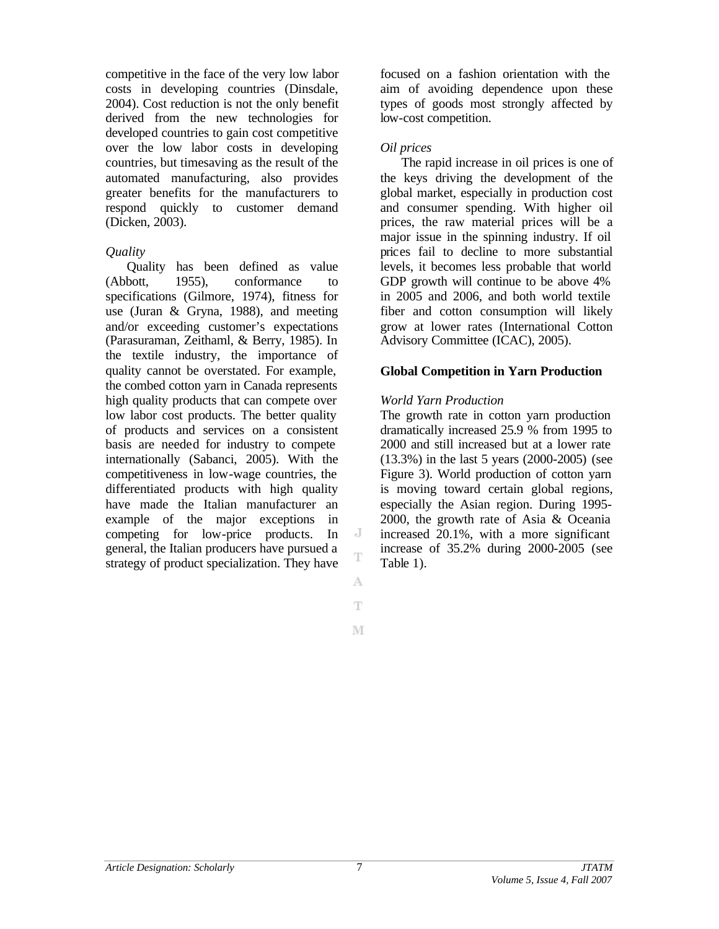competitive in the face of the very low labor costs in developing countries (Dinsdale, 2004). Cost reduction is not the only benefit derived from the new technologies for developed countries to gain cost competitive over the low labor costs in developing countries, but timesaving as the result of the automated manufacturing, also provides greater benefits for the manufacturers to respond quickly to customer demand (Dicken, 2003).

## *Quality*

Quality has been defined as value (Abbott, 1955), conformance to specifications (Gilmore, 1974), fitness for use (Juran & Gryna, 1988), and meeting and/or exceeding customer's expectations (Parasuraman, Zeithaml, & Berry, 1985). In the textile industry, the importance of quality cannot be overstated. For example, the combed cotton yarn in Canada represents high quality products that can compete over low labor cost products. The better quality of products and services on a consistent basis are needed for industry to compete internationally (Sabanci, 2005). With the competitiveness in low-wage countries, the differentiated products with high quality have made the Italian manufacturer an example of the major exceptions in competing for low-price products. In general, the Italian producers have pursued a strategy of product specialization. They have

focused on a fashion orientation with the aim of avoiding dependence upon these types of goods most strongly affected by low-cost competition.

## *Oil prices*

The rapid increase in oil prices is one of the keys driving the development of the global market, especially in production cost and consumer spending. With higher oil prices, the raw material prices will be a major issue in the spinning industry. If oil prices fail to decline to more substantial levels, it becomes less probable that world GDP growth will continue to be above 4% in 2005 and 2006, and both world textile fiber and cotton consumption will likely grow at lower rates (International Cotton Advisory Committee (ICAC), 2005).

### **Global Competition in Yarn Production**

### *World Yarn Production*

The growth rate in cotton yarn production dramatically increased 25.9 % from 1995 to 2000 and still increased but at a lower rate (13.3%) in the last 5 years (2000-2005) (see Figure 3). World production of cotton yarn is moving toward certain global regions, especially the Asian region. During 1995- 2000, the growth rate of Asia & Oceania increased 20.1%, with a more significant increase of 35.2% during 2000-2005 (see Table 1).

 $\overline{A}$ T

A Ŧ

M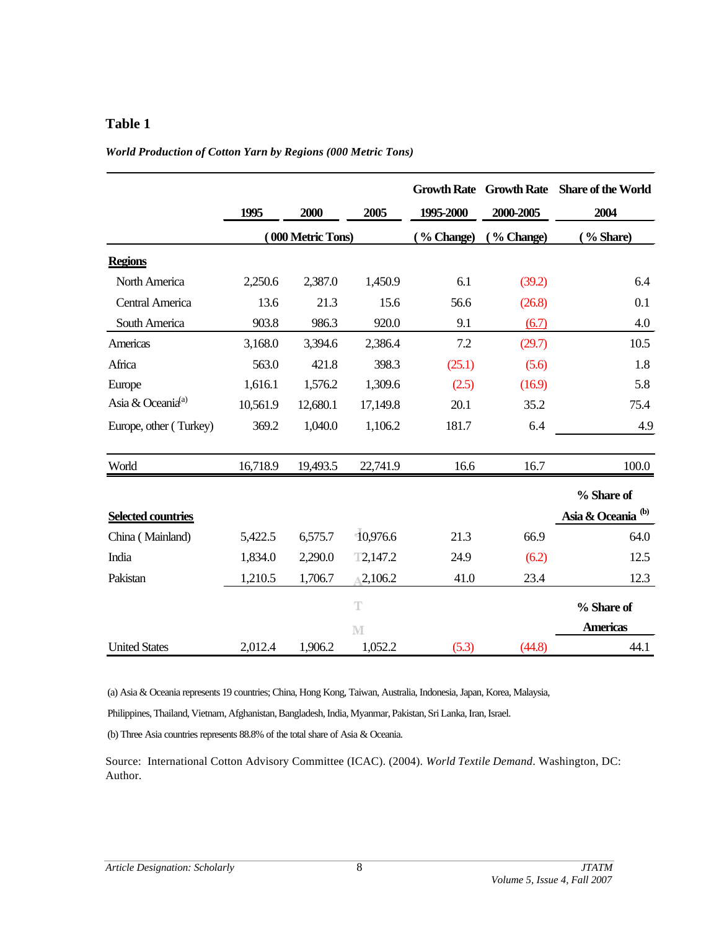# **Table 1**

#### *World Production of Cotton Yarn by Regions (000 Metric Tons)*

|                               | 1995     | 2000              | 2005     | 1995-2000  | <b>Growth Rate Growth Rate</b><br>2000-2005 | <b>Share of the World</b><br>2004 |
|-------------------------------|----------|-------------------|----------|------------|---------------------------------------------|-----------------------------------|
|                               |          | (000 Metric Tons) |          | (% Change) | (% Change)                                  | % Share)                          |
| <b>Regions</b>                |          |                   |          |            |                                             |                                   |
| North America                 | 2,250.6  | 2,387.0           | 1,450.9  | 6.1        | (39.2)                                      | 6.4                               |
| <b>Central America</b>        | 13.6     | 21.3              | 15.6     | 56.6       | (26.8)                                      | 0.1                               |
| South America                 | 903.8    | 986.3             | 920.0    | 9.1        | (6.7)                                       | 4.0                               |
| Americas                      | 3,168.0  | 3,394.6           | 2,386.4  | 7.2        | (29.7)                                      | 10.5                              |
| Africa                        | 563.0    | 421.8             | 398.3    | (25.1)     | (5.6)                                       | 1.8                               |
| Europe                        | 1,616.1  | 1,576.2           | 1,309.6  | (2.5)      | (16.9)                                      | 5.8                               |
| Asia & Oceania <sup>(a)</sup> | 10,561.9 | 12,680.1          | 17,149.8 | 20.1       | 35.2                                        | 75.4                              |
| Europe, other (Turkey)        | 369.2    | 1,040.0           | 1,106.2  | 181.7      | 6.4                                         | 4.9                               |
| World                         | 16,718.9 | 19,493.5          | 22,741.9 | 16.6       | 16.7                                        | 100.0                             |
|                               |          |                   |          |            |                                             | % Share of                        |
| <b>Selected countries</b>     |          |                   |          |            |                                             | Asia & Oceania <sup>(b)</sup>     |
| China (Mainland)              | 5,422.5  | 6,575.7           | 10,976.6 | 21.3       | 66.9                                        | 64.0                              |
| India                         | 1,834.0  | 2,290.0           | T2,147.2 | 24.9       | (6.2)                                       | 12.5                              |
| Pakistan                      | 1,210.5  | 1,706.7           | 2,106.2  | 41.0       | 23.4                                        | 12.3                              |
|                               |          |                   | T        |            |                                             | % Share of                        |
|                               |          |                   | M        |            |                                             | <b>Americas</b>                   |
| <b>United States</b>          | 2,012.4  | 1,906.2           | 1,052.2  | (5.3)      | (44.8)                                      | 44.1                              |

(a) Asia & Oceania represents 19 countries; China, Hong Kong, Taiwan, Australia, Indonesia, Japan, Korea, Malaysia,

Philippines, Thailand, Vietnam, Afghanistan, Bangladesh, India, Myanmar, Pakistan, Sri Lanka, Iran, Israel.

(b) Three Asia countries represents 88.8% of the total share of Asia & Oceania.

Source: International Cotton Advisory Committee (ICAC). (2004). *World Textile Demand*. Washington, DC: Author.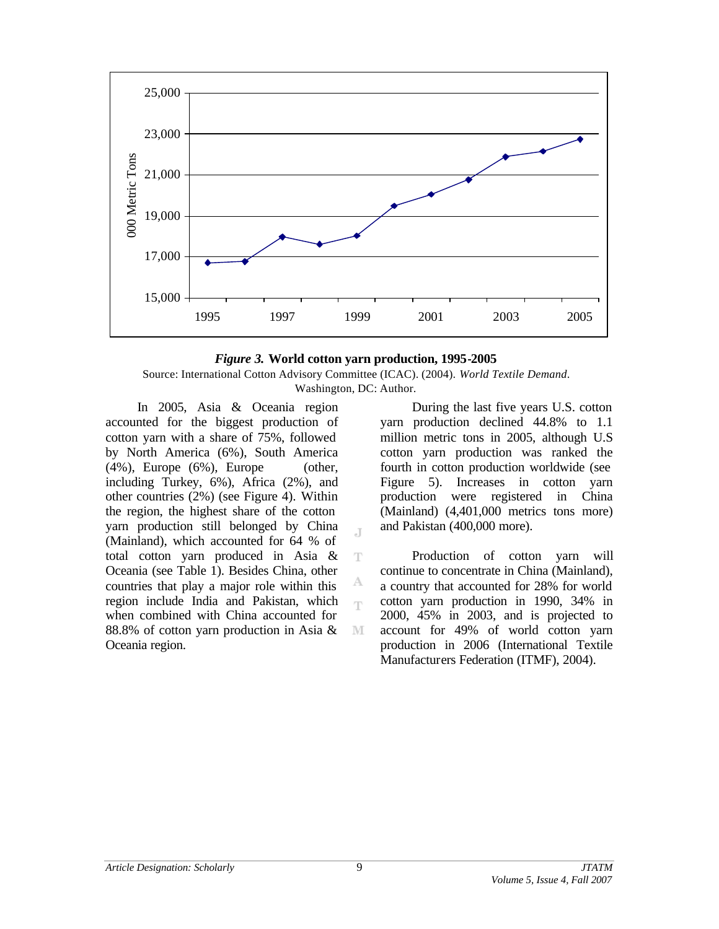



J

T

А ηv

M

In 2005, Asia & Oceania region accounted for the biggest production of cotton yarn with a share of 75%, followed by North America (6%), South America  $(4\%)$ , Europe  $(6\%)$ , Europe (other, including Turkey, 6%), Africa (2%), and other countries (2%) (see Figure 4). Within the region, the highest share of the cotton yarn production still belonged by China (Mainland), which accounted for 64 % of total cotton yarn produced in Asia & Oceania (see Table 1). Besides China, other countries that play a major role within this region include India and Pakistan, which when combined with China accounted for 88.8% of cotton yarn production in Asia & Oceania region.

During the last five years U.S. cotton yarn production declined 44.8% to 1.1 million metric tons in 2005, although U.S cotton yarn production was ranked the fourth in cotton production worldwide (see Figure 5). Increases in cotton yarn production were registered in China (Mainland) (4,401,000 metrics tons more) and Pakistan (400,000 more).

Production of cotton yarn will continue to concentrate in China (Mainland), a country that accounted for 28% for world cotton yarn production in 1990, 34% in 2000, 45% in 2003, and is projected to account for 49% of world cotton yarn production in 2006 (International Textile Manufacturers Federation (ITMF), 2004).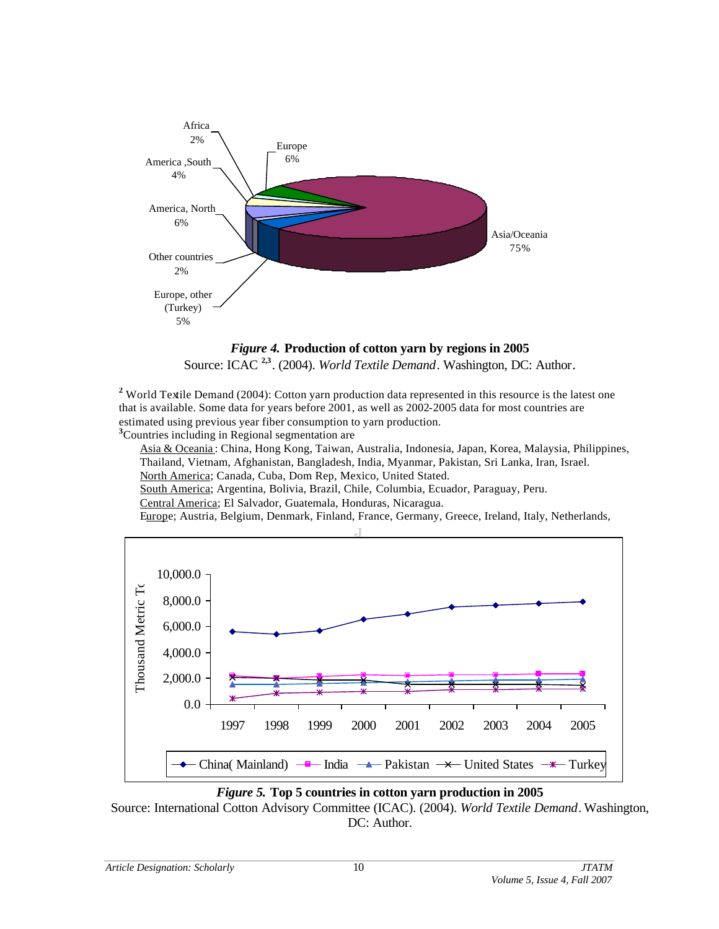

# *Figure 4.* **Production of cotton yarn by regions in 2005**

Source: ICAC<sup>2,3</sup>. (2004). *World Textile Demand*. Washington, DC: Author.

**<sup>2</sup>** World Textile Demand (2004): Cotton yarn production data represented in this resource is the latest one that is available. Some data for years before 2001, as well as 2002-2005 data for most countries are estimated using previous year fiber consumption to yarn production. **<sup>3</sup>**Countries including in Regional segmentation are

Asia & Oceania : China, Hong Kong, Taiwan, Australia, Indonesia, Japan, Korea, Malaysia, Philippines, Thailand, Vietnam, Afghanistan, Bangladesh, India, Myanmar, Pakistan, Sri Lanka, Iran, Israel. North America; Canada, Cuba, Dom Rep, Mexico, United Stated.

South America; Argentina, Bolivia, Brazil, Chile, Columbia, Ecuador, Paraguay, Peru.

Central America; El Salvador, Guatemala, Honduras, Nicaragua.

Europe; Austria, Belgium, Denmark, Finland, France, Germany, Greece, Ireland, Italy, Netherlands,



### *Figure 5.* **Top 5 countries in cotton yarn production in 2005**

Source: International Cotton Advisory Committee (ICAC). (2004). *World Textile Demand*. Washington, DC: Author.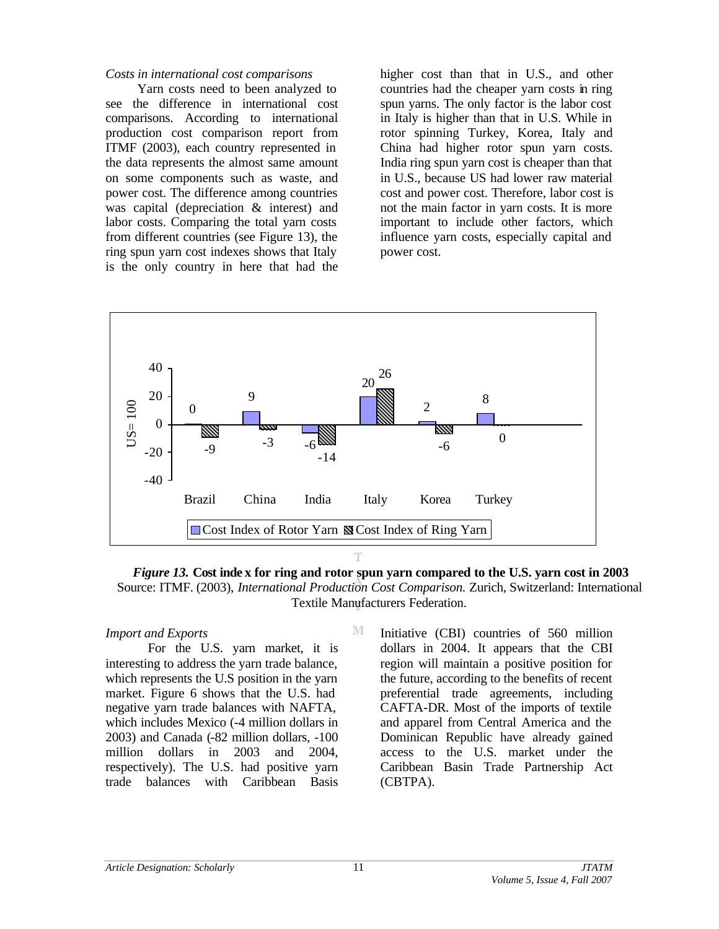## *Costs in international cost comparisons*

Yarn costs need to been analyzed to see the difference in international cost comparisons. According to international production cost comparison report from ITMF (2003), each country represented in the data represents the almost same amount on some components such as waste, and power cost. The difference among countries was capital (depreciation & interest) and labor costs. Comparing the total yarn costs from different countries (see Figure 13), the ring spun yarn cost indexes shows that Italy is the only country in here that had the

higher cost than that in U.S., and other countries had the cheaper yarn costs in ring spun yarns. The only factor is the labor cost in Italy is higher than that in U.S. While in rotor spinning Turkey, Korea, Italy and China had higher rotor spun yarn costs. India ring spun yarn cost is cheaper than that in U.S., because US had lower raw material cost and power cost. Therefore, labor cost is not the main factor in yarn costs. It is more important to include other factors, which influence yarn costs, especially capital and power cost.



*Figure 13.* **Cost inde x for ring and rotor spun yarn compared to the U.S. yarn cost in 2003** Source: ITMF. (2003), *International Production Cost Comparison.* Zurich, Switzerland: International Textile Manufacturers Federation.

M

## *Import and Exports*

For the U.S. yarn market, it is interesting to address the yarn trade balance, which represents the U.S position in the yarn market. Figure 6 shows that the U.S. had negative yarn trade balances with NAFTA, which includes Mexico (-4 million dollars in 2003) and Canada (-82 million dollars, -100 million dollars in 2003 and 2004, respectively). The U.S. had positive yarn trade balances with Caribbean Basis

Initiative (CBI) countries of 560 million dollars in 2004. It appears that the CBI region will maintain a positive position for the future, according to the benefits of recent preferential trade agreements, including CAFTA-DR. Most of the imports of textile and apparel from Central America and the Dominican Republic have already gained access to the U.S. market under the Caribbean Basin Trade Partnership Act (CBTPA).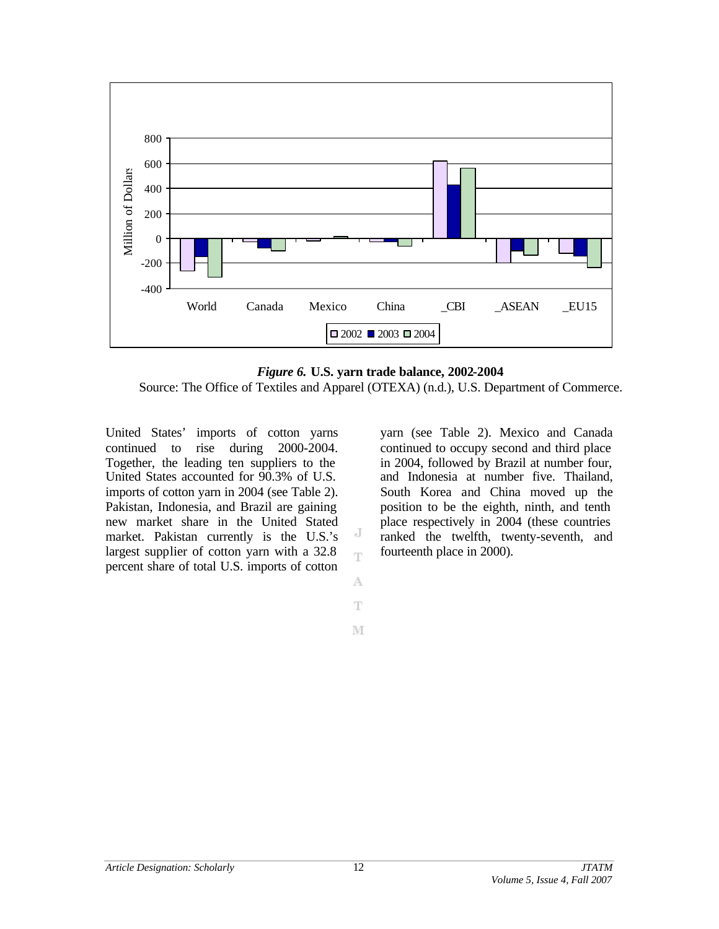

*Figure 6.* **U.S. yarn trade balance, 2002-2004** Source: The Office of Textiles and Apparel (OTEXA) (n.d.), U.S. Department of Commerce.

J Ť

A Ŧ

M

United States' imports of cotton yarns continued to rise during 2000-2004. Together, the leading ten suppliers to the United States accounted for 90.3% of U.S. imports of cotton yarn in 2004 (see Table 2). Pakistan, Indonesia, and Brazil are gaining new market share in the United Stated market. Pakistan currently is the U.S.'s largest supplier of cotton yarn with a 32.8 percent share of total U.S. imports of cotton

yarn (see Table 2). Mexico and Canada continued to occupy second and third place in 2004, followed by Brazil at number four, and Indonesia at number five. Thailand, South Korea and China moved up the position to be the eighth, ninth, and tenth place respectively in 2004 (these countries ranked the twelfth, twenty-seventh, and fourteenth place in 2000).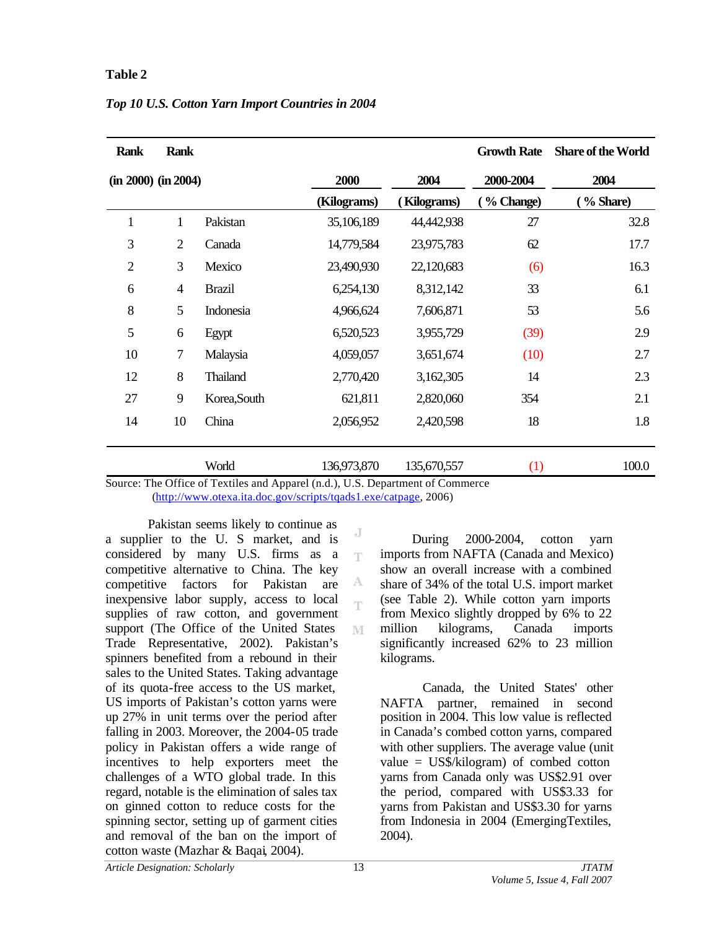## **Table 2**

| <b>Rank</b>         | <b>Rank</b>    |               |             |                    | <b>Growth Rate</b> | <b>Share of the World</b> |
|---------------------|----------------|---------------|-------------|--------------------|--------------------|---------------------------|
| (in 2000) (in 2004) |                |               | 2000        | 2004               | 2000-2004          | 2004                      |
|                     |                |               | (Kilograms) | <b>Kilograms</b> ) | % Change)          | % Share)                  |
| $\mathbf{1}$        | $\mathbf{1}$   | Pakistan      | 35,106,189  | 44,442,938         | 27                 | 32.8                      |
| 3                   | $\overline{2}$ | Canada        | 14,779,584  | 23,975,783         | 62                 | 17.7                      |
| $\overline{2}$      | 3              | Mexico        | 23,490,930  | 22,120,683         | (6)                | 16.3                      |
| 6                   | $\overline{4}$ | <b>Brazil</b> | 6,254,130   | 8,312,142          | 33                 | 6.1                       |
| 8                   | 5              | Indonesia     | 4,966,624   | 7,606,871          | 53                 | 5.6                       |
| 5                   | 6              | Egypt         | 6,520,523   | 3,955,729          | (39)               | 2.9                       |
| 10                  | 7              | Malaysia      | 4,059,057   | 3,651,674          | (10)               | 2.7                       |
| 12                  | 8              | Thailand      | 2,770,420   | 3,162,305          | 14                 | 2.3                       |
| 27                  | 9              | Korea, South  | 621,811     | 2,820,060          | 354                | 2.1                       |
| 14                  | 10             | China         | 2,056,952   | 2,420,598          | 18                 | 1.8                       |
|                     |                | World         | 136,973,870 | 135,670,557        | (1)                | 100.0                     |

## *Top 10 U.S. Cotton Yarn Import Countries in 2004*

Source: The Office of Textiles and Apparel (n.d.), U.S. Department of Commerce (http://www.otexa.ita.doc.gov/scripts/tqads1.exe/catpage, 2006)

> J T

> А ηv

M

Pakistan seems likely to continue as a supplier to the U. S market, and is considered by many U.S. firms as a competitive alternative to China. The key competitive factors for Pakistan are inexpensive labor supply, access to local supplies of raw cotton, and government support (The Office of the United States Trade Representative, 2002). Pakistan's spinners benefited from a rebound in their sales to the United States. Taking advantage of its quota-free access to the US market, US imports of Pakistan's cotton yarns were up 27% in unit terms over the period after falling in 2003. Moreover, the 2004-05 trade policy in Pakistan offers a wide range of incentives to help exporters meet the challenges of a WTO global trade. In this regard, notable is the elimination of sales tax on ginned cotton to reduce costs for the spinning sector, setting up of garment cities and removal of the ban on the import of cotton waste (Mazhar & Baqai, 2004).

During 2000-2004, cotton yarn imports from NAFTA (Canada and Mexico) show an overall increase with a combined share of 34% of the total U.S. import market (see Table 2). While cotton yarn imports from Mexico slightly dropped by 6% to 22 million kilograms, Canada imports significantly increased 62% to 23 million kilograms.

Canada, the United States' other NAFTA partner, remained in second position in 2004. This low value is reflected in Canada's combed cotton yarns, compared with other suppliers. The average value (unit value = US\$/kilogram) of combed cotton yarns from Canada only was US\$2.91 over the period, compared with US\$3.33 for yarns from Pakistan and US\$3.30 for yarns from Indonesia in 2004 (EmergingTextiles, 2004).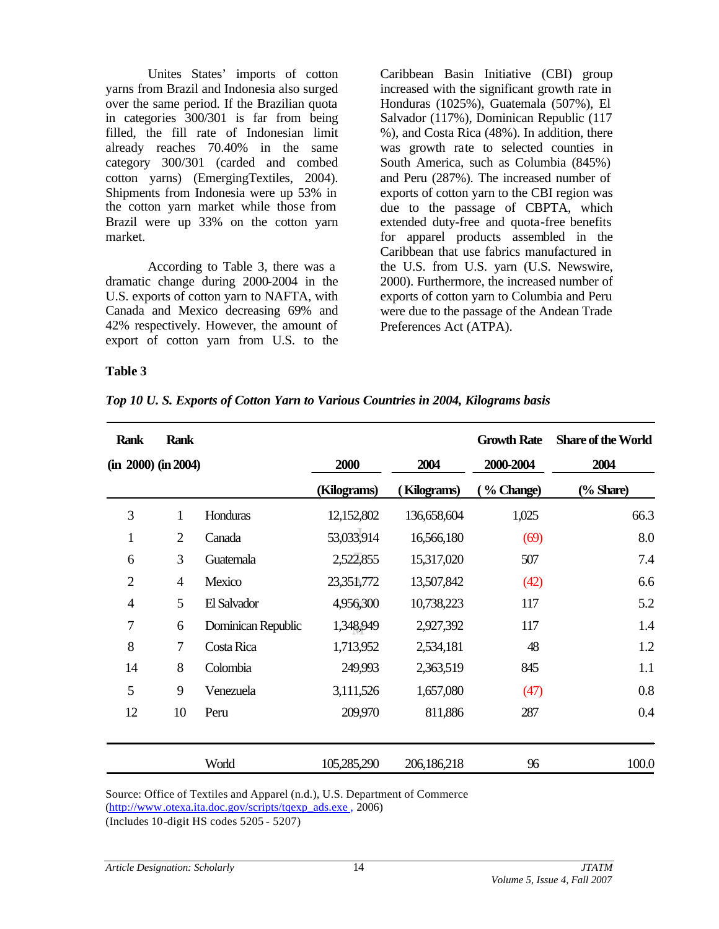Unites States' imports of cotton yarns from Brazil and Indonesia also surged over the same period. If the Brazilian quota in categories 300/301 is far from being filled, the fill rate of Indonesian limit already reaches 70.40% in the same category 300/301 (carded and combed cotton yarns) (EmergingTextiles, 2004). Shipments from Indonesia were up 53% in the cotton yarn market while those from Brazil were up 33% on the cotton yarn market.

According to Table 3, there was a dramatic change during 2000-2004 in the U.S. exports of cotton yarn to NAFTA, with Canada and Mexico decreasing 69% and 42% respectively. However, the amount of export of cotton yarn from U.S. to the

Caribbean Basin Initiative (CBI) group increased with the significant growth rate in Honduras (1025%), Guatemala (507%), El Salvador (117%), Dominican Republic (117 %), and Costa Rica (48%). In addition, there was growth rate to selected counties in South America, such as Columbia (845%) and Peru (287%). The increased number of exports of cotton yarn to the CBI region was due to the passage of CBPTA, which extended duty-free and quota-free benefits for apparel products assembled in the Caribbean that use fabrics manufactured in the U.S. from U.S. yarn (U.S. Newswire, 2000). Furthermore, the increased number of exports of cotton yarn to Columbia and Peru were due to the passage of the Andean Trade Preferences Act (ATPA).

### **Table 3**

*Top 10 U. S. Exports of Cotton Yarn to Various Countries in 2004, Kilograms basis*

| <b>Rank</b>         | <b>Rank</b>    |                    |             |                    | <b>Growth Rate</b> | <b>Share of the World</b> |
|---------------------|----------------|--------------------|-------------|--------------------|--------------------|---------------------------|
| (in 2000) (in 2004) |                |                    | 2000        | 2004               | 2000-2004          | 2004                      |
|                     |                |                    | (Kilograms) | <b>Kilograms</b> ) | (% Change)         | (% Share)                 |
| 3                   | 1              | Honduras           | 12,152,802  | 136,658,604        | 1,025              | 66.3                      |
| $\mathbf{1}$        | $\overline{2}$ | Canada             | 53,033,914  | 16,566,180         | (69)               | 8.0                       |
| 6                   | 3              | Guatemala          | 2,522,855   | 15,317,020         | 507                | 7.4                       |
| $\overline{2}$      | $\overline{4}$ | Mexico             | 23,351,772  | 13,507,842         | (42)               | 6.6                       |
| 4                   | 5              | El Salvador        | 4,956,300   | 10,738,223         | 117                | 5.2                       |
| 7                   | 6              | Dominican Republic | 1,348,949   | 2,927,392          | 117                | 1.4                       |
| 8                   | $\tau$         | Costa Rica         | 1,713,952   | 2,534,181          | 48                 | 1.2                       |
| 14                  | 8              | Colombia           | 249,993     | 2,363,519          | 845                | 1.1                       |
| 5                   | 9              | Venezuela          | 3,111,526   | 1,657,080          | (47)               | 0.8                       |
| 12                  | 10             | Peru               | 209,970     | 811,886            | 287                | 0.4                       |
|                     |                | World              | 105,285,290 | 206,186,218        | 96                 | 100.0                     |

Source: Office of Textiles and Apparel (n.d.), U.S. Department of Commerce (http://www.otexa.ita.doc.gov/scripts/tqexp\_ads.exe , 2006)

(Includes 10-digit HS codes 5205 - 5207)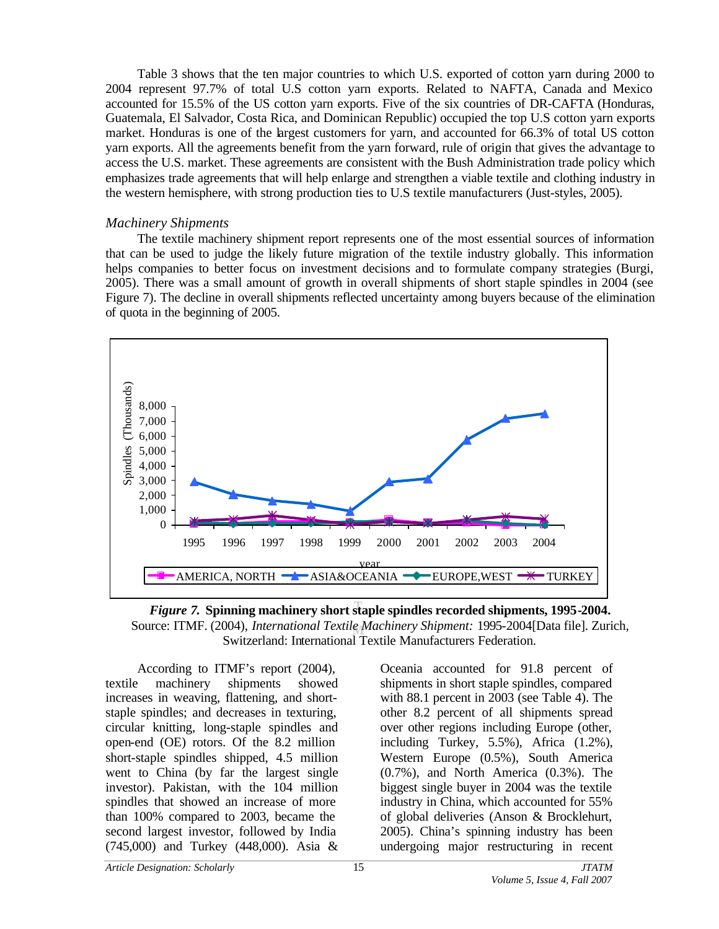Table 3 shows that the ten major countries to which U.S. exported of cotton yarn during 2000 to 2004 represent 97.7% of total U.S cotton yarn exports. Related to NAFTA, Canada and Mexico accounted for 15.5% of the US cotton yarn exports. Five of the six countries of DR-CAFTA (Honduras, Guatemala, El Salvador, Costa Rica, and Dominican Republic) occupied the top U.S cotton yarn exports market. Honduras is one of the largest customers for yarn, and accounted for 66.3% of total US cotton yarn exports. All the agreements benefit from the yarn forward, rule of origin that gives the advantage to access the U.S. market. These agreements are consistent with the Bush Administration trade policy which emphasizes trade agreements that will help enlarge and strengthen a viable textile and clothing industry in the western hemisphere, with strong production ties to U.S textile manufacturers (Just-styles, 2005).

## *Machinery Shipments*

The textile machinery shipment report represents one of the most essential sources of information that can be used to judge the likely future migration of the textile industry globally. This information helps companies to better focus on investment decisions and to formulate company strategies (Burgi, 2005). There was a small amount of growth in overall shipments of short staple spindles in 2004 (see Figure 7). The decline in overall shipments reflected uncertainty among buyers because of the elimination of quota in the beginning of 2005.





According to ITMF's report (2004), textile machinery shipments showed increases in weaving, flattening, and shortstaple spindles; and decreases in texturing, circular knitting, long-staple spindles and open-end (OE) rotors. Of the 8.2 million short-staple spindles shipped, 4.5 million went to China (by far the largest single investor). Pakistan, with the 104 million spindles that showed an increase of more than 100% compared to 2003, became the second largest investor, followed by India (745,000) and Turkey (448,000). Asia &

Oceania accounted for 91.8 percent of shipments in short staple spindles, compared with 88.1 percent in 2003 (see Table 4). The other 8.2 percent of all shipments spread over other regions including Europe (other, including Turkey, 5.5%), Africa (1.2%), Western Europe (0.5%), South America (0.7%), and North America (0.3%). The biggest single buyer in 2004 was the textile industry in China, which accounted for 55% of global deliveries (Anson & Brocklehurt, 2005). China's spinning industry has been undergoing major restructuring in recent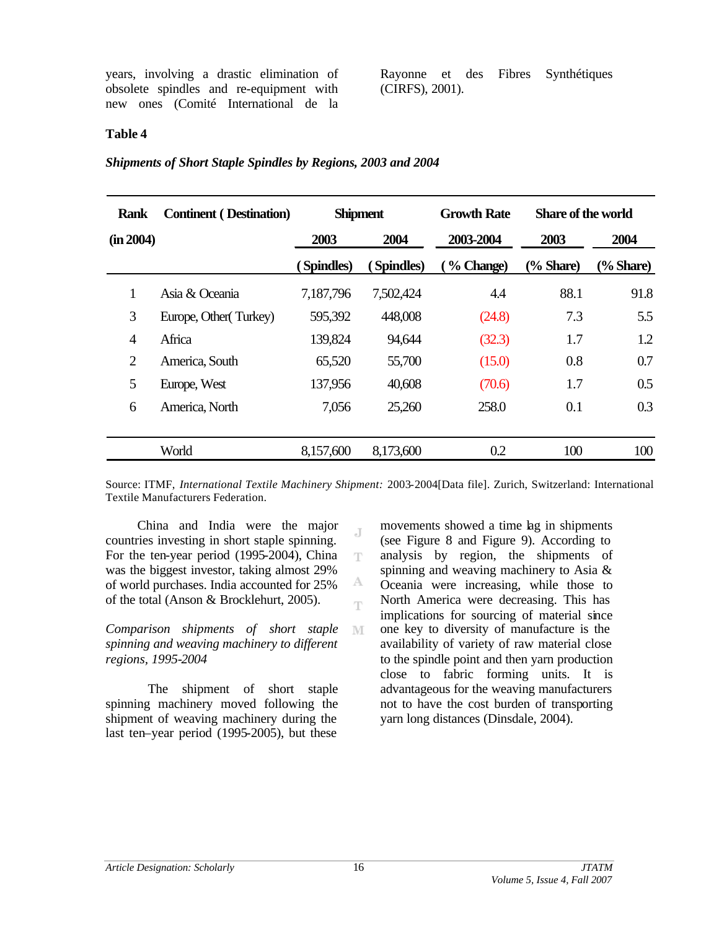years, involving a drastic elimination of obsolete spindles and re-equipment with new ones (Comité International de la Rayonne et des Fibres Synthétiques (CIRFS), 2001).

### **Table 4**

#### *Shipments of Short Staple Spindles by Regions, 2003 and 2004*

| <b>Rank</b>    | <b>Continent</b> (Destination) |           | <b>Shipment</b> | <b>Growth Rate</b> | <b>Share of the world</b> |           |
|----------------|--------------------------------|-----------|-----------------|--------------------|---------------------------|-----------|
| (in 2004)      |                                | 2003      | 2004            | 2003-2004          | 2003                      | 2004      |
|                |                                | Spindles) | (Spindles)      | % Change)          | $\frac{6}{6}$ Share)      | (% Share) |
| $\mathbf{1}$   | Asia & Oceania                 | 7,187,796 | 7,502,424       | 4.4                | 88.1                      | 91.8      |
| 3              | Europe, Other(Turkey)          | 595,392   | 448,008         | (24.8)             | 7.3                       | 5.5       |
| $\overline{4}$ | Africa                         | 139,824   | 94,644          | (32.3)             | 1.7                       | 1.2       |
| $\overline{2}$ | America, South                 | 65,520    | 55,700          | (15.0)             | 0.8                       | 0.7       |
| 5              | Europe, West                   | 137,956   | 40,608          | (70.6)             | 1.7                       | 0.5       |
| 6              | America, North                 | 7,056     | 25,260          | 258.0              | 0.1                       | 0.3       |
|                | World                          | 8,157,600 | 8,173,600       | 0.2                | 100                       | 100       |

Source: ITMF, *International Textile Machinery Shipment:* 2003-2004[Data file]. Zurich, Switzerland: International Textile Manufacturers Federation.

J

T

А T

M

China and India were the major countries investing in short staple spinning. For the ten-year period (1995-2004), China was the biggest investor, taking almost 29% of world purchases. India accounted for 25% of the total (Anson & Brocklehurt, 2005).

*Comparison shipments of short staple spinning and weaving machinery to different regions, 1995-2004*

The shipment of short staple spinning machinery moved following the shipment of weaving machinery during the last ten–year period (1995-2005), but these

movements showed a time lag in shipments (see Figure 8 and Figure 9). According to analysis by region, the shipments of spinning and weaving machinery to Asia & Oceania were increasing, while those to North America were decreasing. This has implications for sourcing of material since one key to diversity of manufacture is the availability of variety of raw material close to the spindle point and then yarn production close to fabric forming units. It is advantageous for the weaving manufacturers not to have the cost burden of transporting yarn long distances (Dinsdale, 2004).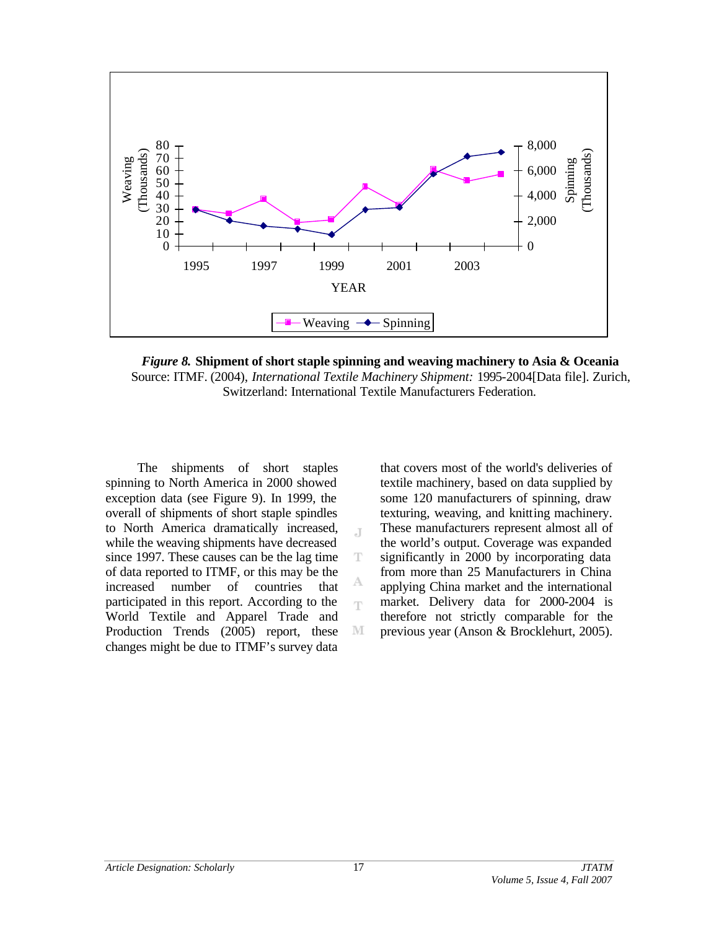

*Figure 8.* **Shipment of short staple spinning and weaving machinery to Asia & Oceania** Source: ITMF. (2004), *International Textile Machinery Shipment:* 1995-2004[Data file]. Zurich, Switzerland: International Textile Manufacturers Federation.

J.

T

A Ŧ

M

The shipments of short staples spinning to North America in 2000 showed exception data (see Figure 9). In 1999, the overall of shipments of short staple spindles to North America dramatically increased, while the weaving shipments have decreased since 1997. These causes can be the lag time of data reported to ITMF, or this may be the increased number of countries that participated in this report. According to the World Textile and Apparel Trade and Production Trends (2005) report, these changes might be due to ITMF's survey data that covers most of the world's deliveries of textile machinery, based on data supplied by some 120 manufacturers of spinning, draw texturing, weaving, and knitting machinery. These manufacturers represent almost all of the world's output. Coverage was expanded significantly in 2000 by incorporating data from more than 25 Manufacturers in China applying China market and the international market. Delivery data for 2000-2004 is therefore not strictly comparable for the previous year (Anson & Brocklehurt, 2005).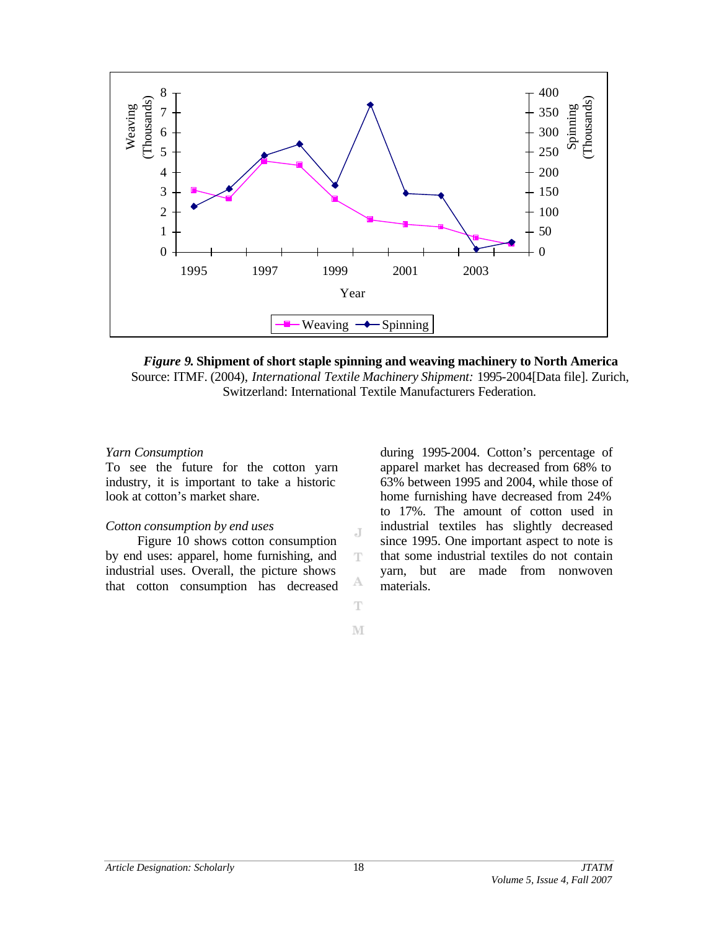

*Figure 9***. Shipment of short staple spinning and weaving machinery to North America** Source: ITMF. (2004), *International Textile Machinery Shipment:* 1995-2004[Data file]. Zurich, Switzerland: International Textile Manufacturers Federation.

J

T

А Ŧ

M

#### *Yarn Consumption*

To see the future for the cotton yarn industry, it is important to take a historic look at cotton's market share.

#### *Cotton consumption by end uses*

Figure 10 shows cotton consumption by end uses: apparel, home furnishing, and industrial uses. Overall, the picture shows that cotton consumption has decreased during 1995-2004. Cotton's percentage of apparel market has decreased from 68% to 63% between 1995 and 2004, while those of home furnishing have decreased from 24% to 17%. The amount of cotton used in industrial textiles has slightly decreased since 1995. One important aspect to note is that some industrial textiles do not contain yarn, but are made from nonwoven materials.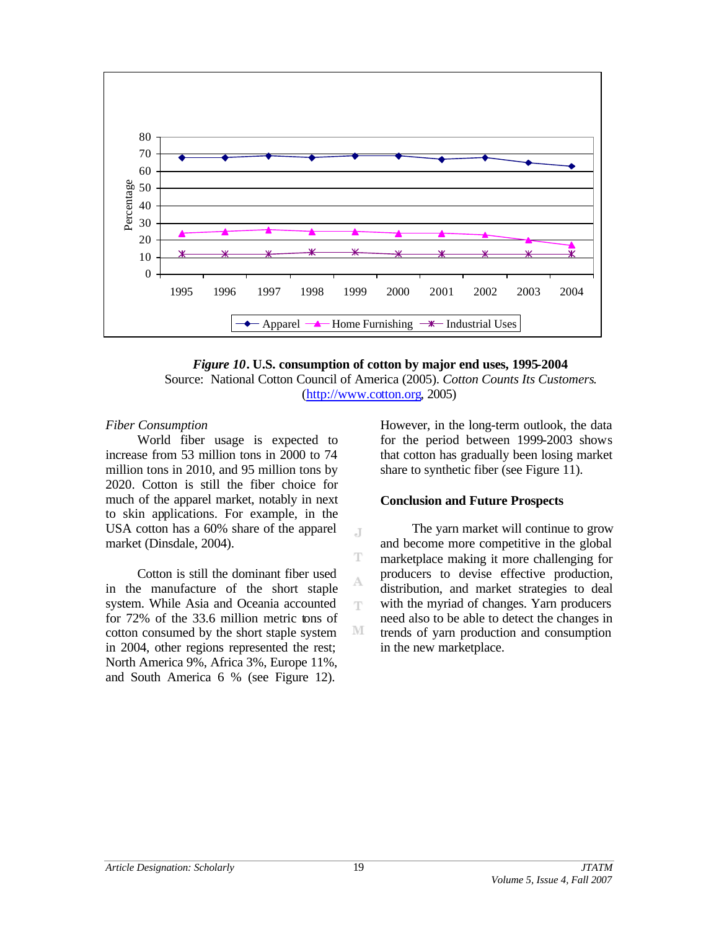



J.

T

A Ŧ

M

### *Fiber Consumption*

World fiber usage is expected to increase from 53 million tons in 2000 to 74 million tons in 2010, and 95 million tons by 2020. Cotton is still the fiber choice for much of the apparel market, notably in next to skin applications. For example, in the USA cotton has a 60% share of the apparel market (Dinsdale, 2004).

Cotton is still the dominant fiber used in the manufacture of the short staple system. While Asia and Oceania accounted for 72% of the 33.6 million metric tons of cotton consumed by the short staple system in 2004, other regions represented the rest; North America 9%, Africa 3%, Europe 11%, and South America 6 % (see Figure 12).

However, in the long-term outlook, the data for the period between 1999-2003 shows that cotton has gradually been losing market share to synthetic fiber (see Figure 11).

### **Conclusion and Future Prospects**

The yarn market will continue to grow and become more competitive in the global marketplace making it more challenging for producers to devise effective production, distribution, and market strategies to deal with the myriad of changes. Yarn producers need also to be able to detect the changes in trends of yarn production and consumption in the new marketplace.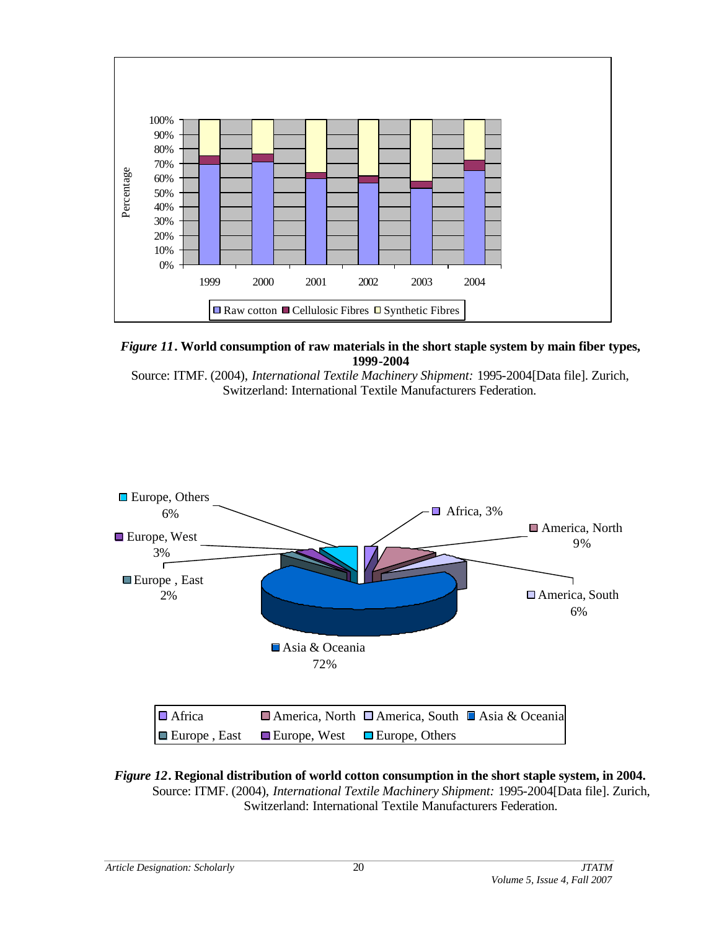

*Figure 11***. World consumption of raw materials in the short staple system by main fiber types, 1999-2004**

Source: ITMF. (2004), *International Textile Machinery Shipment:* 1995-2004[Data file]. Zurich, Switzerland: International Textile Manufacturers Federation.



*Figure 12***. Regional distribution of world cotton consumption in the short staple system, in 2004.**  Source: ITMF. (2004), *International Textile Machinery Shipment:* 1995-2004[Data file]. Zurich, Switzerland: International Textile Manufacturers Federation.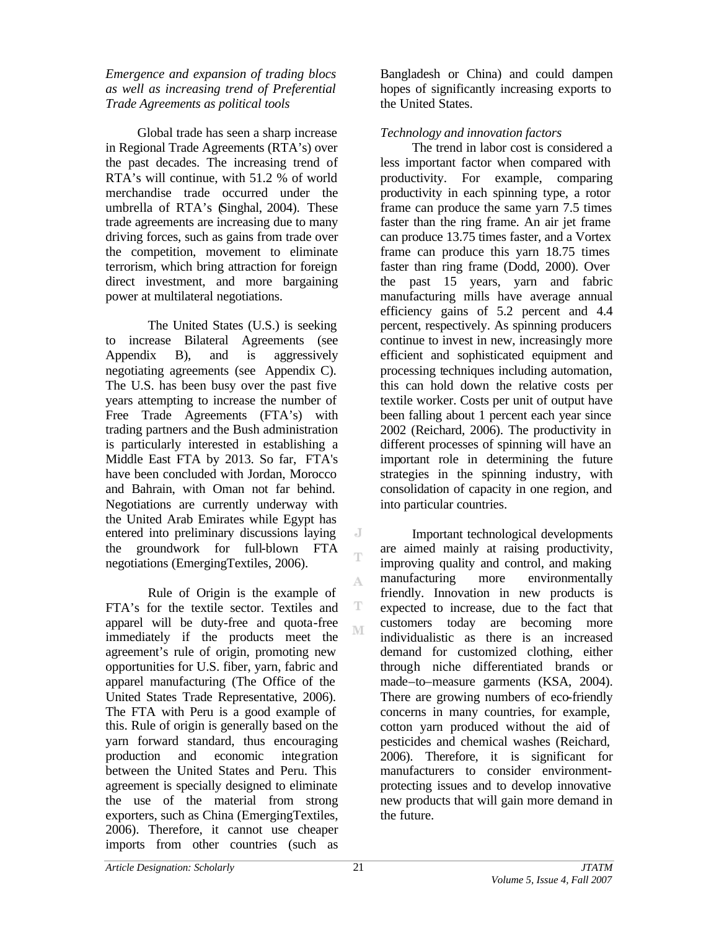### *Emergence and expansion of trading blocs as well as increasing trend of Preferential Trade Agreements as political tools*

Global trade has seen a sharp increase in Regional Trade Agreements (RTA's) over the past decades. The increasing trend of RTA's will continue, with 51.2 % of world merchandise trade occurred under the umbrella of RTA's (Singhal, 2004). These trade agreements are increasing due to many driving forces, such as gains from trade over the competition, movement to eliminate terrorism, which bring attraction for foreign direct investment, and more bargaining power at multilateral negotiations.

The United States (U.S.) is seeking to increase Bilateral Agreements (see Appendix B), and is aggressively negotiating agreements (see Appendix C). The U.S. has been busy over the past five years attempting to increase the number of Free Trade Agreements (FTA's) with trading partners and the Bush administration is particularly interested in establishing a Middle East FTA by 2013. So far, FTA's have been concluded with Jordan, Morocco and Bahrain, with Oman not far behind. Negotiations are currently underway with the United Arab Emirates while Egypt has entered into preliminary discussions laying the groundwork for full-blown FTA negotiations (EmergingTextiles, 2006).

Rule of Origin is the example of FTA's for the textile sector. Textiles and apparel will be duty-free and quota-free immediately if the products meet the agreement's rule of origin, promoting new opportunities for U.S. fiber, yarn, fabric and apparel manufacturing (The Office of the United States Trade Representative, 2006). The FTA with Peru is a good example of this. Rule of origin is generally based on the yarn forward standard, thus encouraging production and economic integration between the United States and Peru. This agreement is specially designed to eliminate the use of the material from strong exporters, such as China (EmergingTextiles, 2006). Therefore, it cannot use cheaper imports from other countries (such as

Bangladesh or China) and could dampen hopes of significantly increasing exports to the United States.

# *Technology and innovation factors*

The trend in labor cost is considered a less important factor when compared with productivity. For example, comparing productivity in each spinning type, a rotor frame can produce the same yarn 7.5 times faster than the ring frame. An air jet frame can produce 13.75 times faster, and a Vortex frame can produce this yarn 18.75 times faster than ring frame (Dodd, 2000). Over the past 15 years, yarn and fabric manufacturing mills have average annual efficiency gains of 5.2 percent and 4.4 percent, respectively. As spinning producers continue to invest in new, increasingly more efficient and sophisticated equipment and processing techniques including automation, this can hold down the relative costs per textile worker. Costs per unit of output have been falling about 1 percent each year since 2002 (Reichard, 2006). The productivity in different processes of spinning will have an important role in determining the future strategies in the spinning industry, with consolidation of capacity in one region, and into particular countries.

Important technological developments are aimed mainly at raising productivity, improving quality and control, and making manufacturing more environmentally friendly. Innovation in new products is expected to increase, due to the fact that customers today are becoming more individualistic as there is an increased demand for customized clothing, either through niche differentiated brands or made–to–measure garments (KSA, 2004). There are growing numbers of eco-friendly concerns in many countries, for example, cotton yarn produced without the aid of pesticides and chemical washes (Reichard, 2006). Therefore, it is significant for manufacturers to consider environmentprotecting issues and to develop innovative new products that will gain more demand in the future.

J T

A

T M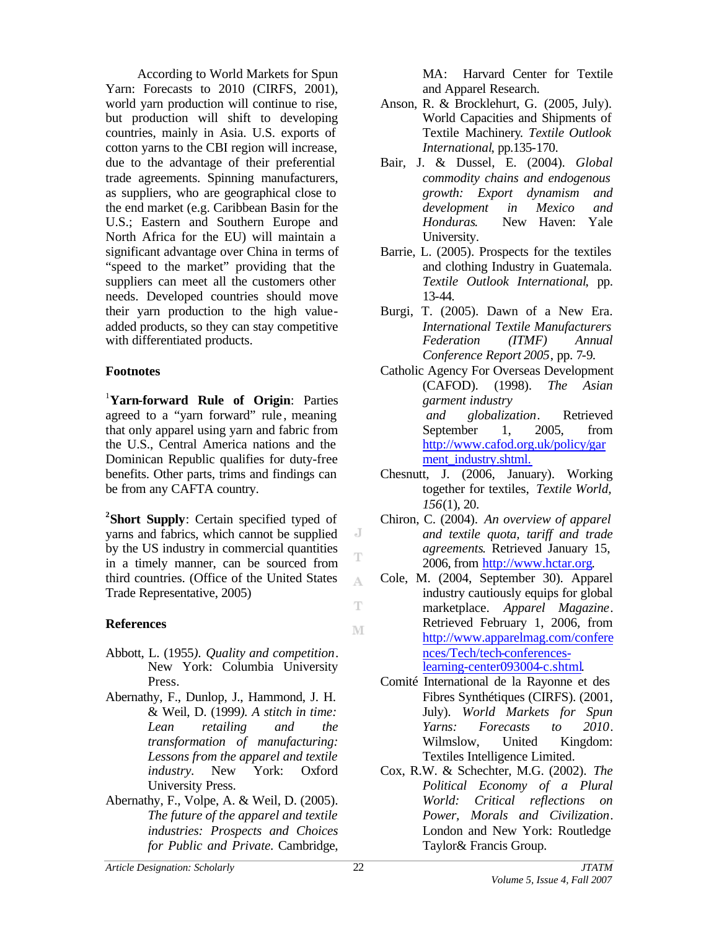According to World Markets for Spun Yarn: Forecasts to 2010 (CIRFS, 2001), world yarn production will continue to rise, but production will shift to developing countries, mainly in Asia. U.S. exports of cotton yarns to the CBI region will increase, due to the advantage of their preferential trade agreements. Spinning manufacturers, as suppliers, who are geographical close to the end market (e.g. Caribbean Basin for the U.S.; Eastern and Southern Europe and North Africa for the EU) will maintain a significant advantage over China in terms of "speed to the market" providing that the suppliers can meet all the customers other needs. Developed countries should move their yarn production to the high valueadded products, so they can stay competitive with differentiated products.

## **Footnotes**

<sup>1</sup>**Yarn-forward Rule of Origin**: Parties agreed to a "yarn forward" rule, meaning that only apparel using yarn and fabric from the U.S., Central America nations and the Dominican Republic qualifies for duty-free benefits. Other parts, trims and findings can be from any CAFTA country.

**2 Short Supply**: Certain specified typed of yarns and fabrics, which cannot be supplied by the US industry in commercial quantities in a timely manner, can be sourced from third countries. (Office of the United States Trade Representative, 2005)

## **References**

- Abbott, L. (1955*). Quality and competition*. New York: Columbia University Press.
- Abernathy, F., Dunlop, J., Hammond, J. H. & Weil, D. (1999*). A stitch in time: Lean retailing and the transformation of manufacturing: Lessons from the apparel and textile industry.* New York: Oxford University Press.
- Abernathy, F., Volpe, A. & Weil, D. (2005). *The future of the apparel and textile industries: Prospects and Choices for Public and Private.* Cambridge,

MA: Harvard Center for Textile and Apparel Research.

- Anson, R. & Brocklehurt, G. (2005, July). World Capacities and Shipments of Textile Machinery*. Textile Outlook International*, pp.135-170.
- Bair, J. & Dussel, E. (2004). *Global commodity chains and endogenous growth: Export dynamism and development in Mexico and Honduras*. New Haven: Yale University.
- Barrie, L. (2005). Prospects for the textiles and clothing Industry in Guatemala. *Textile Outlook International*, pp. 13-44.
- Burgi, T. (2005). Dawn of a New Era. *International Textile Manufacturers Federation (ITMF) Annual Conference Report 2005*, pp. 7-9.
- Catholic Agency For Overseas Development (CAFOD). (1998). *The Asian garment industry and globalization*. Retrieved September 1, 2005, from http://www.cafod.org.uk/policy/gar ment\_industry.shtml.
- Chesnutt, J. (2006, January). Working together for textiles, *Textile World, 156*(1), 20.
- Chiron, C. (2004). *An overview of apparel and textile quota, tariff and trade agreements*. Retrieved January 15, 2006, from http://www.hctar.org.
- Cole, M. (2004, September 30). Apparel industry cautiously equips for global marketplace. *Apparel Magazine*. Retrieved February 1, 2006, from http://www.apparelmag.com/confere nces/Tech/tech-conferenceslearning-center093004-c.shtml.
- Comité International de la Rayonne et des Fibres Synthétiques (CIRFS). (2001, July). *World Markets for Spun Yarns: Forecasts to 2010*. Wilmslow, United Kingdom: Textiles Intelligence Limited.
- Cox, R.W. & Schechter, M.G. (2002). *The Political Economy of a Plural World: Critical reflections on Power, Morals and Civilization*. London and New York: Routledge Taylor& Francis Group.

*Article Designation: Scholarly JTATM*

J T

A

Ŧ

M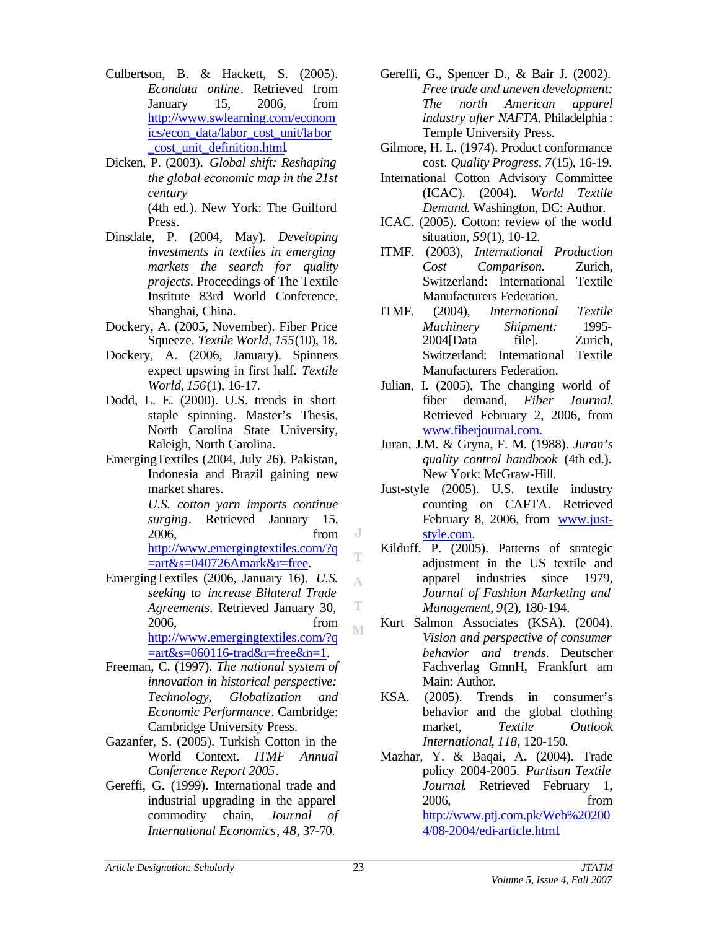- Culbertson, B. & Hackett, S. (2005). *Econdata online*. Retrieved from January 15, 2006, from http://www.swlearning.com/econom ics/econ\_data/labor\_cost\_unit/labor \_cost\_unit\_definition.html.
- Dicken, P. (2003). *Global shift: Reshaping the global economic map in the 21st century* (4th ed.). New York: The Guilford Press.
- Dinsdale, P. (2004, May). *Developing investments in textiles in emerging markets the search for quality projects*. Proceedings of The Textile Institute 83rd World Conference, Shanghai, China.
- Dockery, A. (2005, November). Fiber Price Squeeze. *Textile World, 155*(10), 18.
- Dockery, A. (2006, January). Spinners expect upswing in first half. *Textile World, 156*(1), 16-17.
- Dodd, L. E. (2000). U.S. trends in short staple spinning. Master's Thesis, North Carolina State University, Raleigh, North Carolina.
- EmergingTextiles (2004, July 26). Pakistan, Indonesia and Brazil gaining new market shares.

 *U.S. cotton yarn imports continue surging*. Retrieved January 15, 2006, from http://www.emergingtextiles.com/?q =art&s=040726Amark&r=free.

- EmergingTextiles (2006, January 16). *U.S. seeking to increase Bilateral Trade Agreements*. Retrieved January 30, 2006, from http://www.emergingtextiles.com/?q  $=$ art&s=060116-trad&r=free&n=1.
- Freeman, C. (1997). *The national system of innovation in historical perspective: Technology, Globalization and Economic Performance*. Cambridge: Cambridge University Press.
- Gazanfer, S. (2005). Turkish Cotton in the World Context. *ITMF Annual Conference Report 2005*.
- Gereffi, G. (1999). International trade and industrial upgrading in the apparel commodity chain, *Journal of International Economics*, *48*, 37-70.
- Gereffi, G., Spencer D., & Bair J. (2002). *Free trade and uneven development: The north American apparel industry after NAFTA*. Philadelphia : Temple University Press.
- Gilmore, H. L. (1974). Product conformance cost. *Quality Progress, 7*(15), 16-19.
- International Cotton Advisory Committee (ICAC). (2004). *World Textile Demand*. Washington, DC: Author.
- ICAC. (2005). Cotton: review of the world situation, *59*(1), 10-12.
- ITMF. (2003), *International Production Cost Comparison.* Zurich, Switzerland: International Textile Manufacturers Federation.
- ITMF. (2004), *International Textile Machinery Shipment:* 1995- 2004[Data file]. Zurich, Switzerland: International Textile Manufacturers Federation.
- Julian, I. (2005), The changing world of fiber demand, *Fiber Journal*. Retrieved February 2, 2006, from www.fiberjournal.com.
- Juran, J.M. & Gryna, F. M. (1988). *Juran's quality control handbook* (4th ed.). New York: McGraw-Hill.
- Just-style (2005). U.S. textile industry counting on CAFTA. Retrieved February 8, 2006, from www.juststyle.com.
- Kilduff, P. (2005). Patterns of strategic adjustment in the US textile and apparel industries since 1979, *Journal of Fashion Marketing and Management, 9*(2), 180-194.
- Kurt Salmon Associates (KSA). (2004). *Vision and perspective of consumer behavior and trends*. Deutscher Fachverlag GmnH, Frankfurt am Main: Author.
- KSA. (2005). Trends in consumer's behavior and the global clothing market, *Textile Outlook International*, *118,* 120-150*.*
- Mazhar, Y. & Baqai, A**.** (2004). Trade policy 2004-2005. *Partisan Textile Journal*. Retrieved February 1, 2006, from http://www.ptj.com.pk/Web%20200 4/08-2004/edi-article.html.

J T

A

T M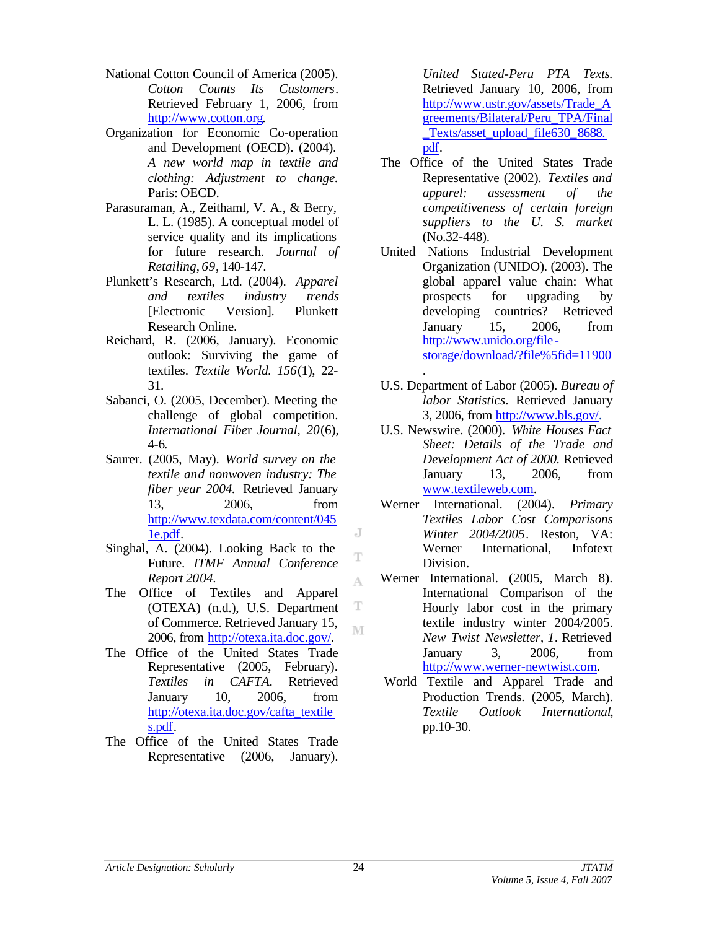- National Cotton Council of America (2005). *Cotton Counts Its Customers*. Retrieved February 1, 2006, from http://www.cotton.org.
- Organization for Economic Co-operation and Development (OECD). (2004). *A new world map in textile and clothing: Adjustment to change.* Paris: OECD.
- Parasuraman, A., Zeithaml, V. A., & Berry, L. L. (1985). A conceptual model of service quality and its implications for future research. *Journal of Retailing*, *69*, 140-147.
- Plunkett's Research, Ltd. (2004). *Apparel and textiles industry trends* [Electronic Version]. Plunkett Research Online.
- Reichard, R. (2006, January). Economic outlook: Surviving the game of textiles. *Textile World. 156*(1), 22- 31.
- Sabanci, O. (2005, December). Meeting the challenge of global competition. *International Fibe*r *Journal, 20*(6), 4-6*.*
- Saurer. (2005, May). *World survey on the textile and nonwoven industry: The fiber year 2004.* Retrieved January 13, 2006, from http://www.texdata.com/content/045 1e.pdf.
- Singhal, A. (2004). Looking Back to the Future. *ITMF Annual Conference Report 2004.*
- The Office of Textiles and Apparel (OTEXA) (n.d.), U.S. Department of Commerce. Retrieved January 15, 2006, from http://otexa.ita.doc.gov/.
- The Office of the United States Trade Representative (2005, February). *Textiles in CAFTA*. Retrieved January 10, 2006, from http://otexa.ita.doc.gov/cafta\_textile s.pdf.
- The Office of the United States Trade Representative (2006, January).

*United Stated-Peru PTA Texts.*  Retrieved January 10, 2006, from http://www.ustr.gov/assets/Trade\_A greements/Bilateral/Peru\_TPA/Final Texts/asset\_upload\_file630\_8688. pdf.

- The Office of the United States Trade Representative (2002). *Textiles and apparel: assessment of the competitiveness of certain foreign suppliers to the U. S. market* (No.32-448).
- United Nations Industrial Development Organization (UNIDO). (2003). The global apparel value chain: What prospects for upgrading by developing countries? Retrieved January 15, 2006, from http://www.unido.org/file storage/download/?file%5fid=11900 .
- U.S. Department of Labor (2005). *Bureau of labor Statistics*. Retrieved January 3, 2006, from http://www.bls.gov/.
- U.S. Newswire. (2000). *White Houses Fact Sheet: Details of the Trade and Development Act of 2000.* Retrieved January 13, 2006, from www.textileweb.com.
- Werner International. (2004). *Primary Textiles Labor Cost Comparisons Winter 2004/2005*. Reston, VA: Werner International, Infotext Division.
- Werner International. (2005, March 8). International Comparison of the Hourly labor cost in the primary textile industry winter 2004/2005. *New Twist Newsletter*, *1*. Retrieved January 3, 2006, from http://www.werner-newtwist.com.
- World Textile and Apparel Trade and Production Trends. (2005, March). *Textile Outlook International*, pp.10-30.

J

T

A

T M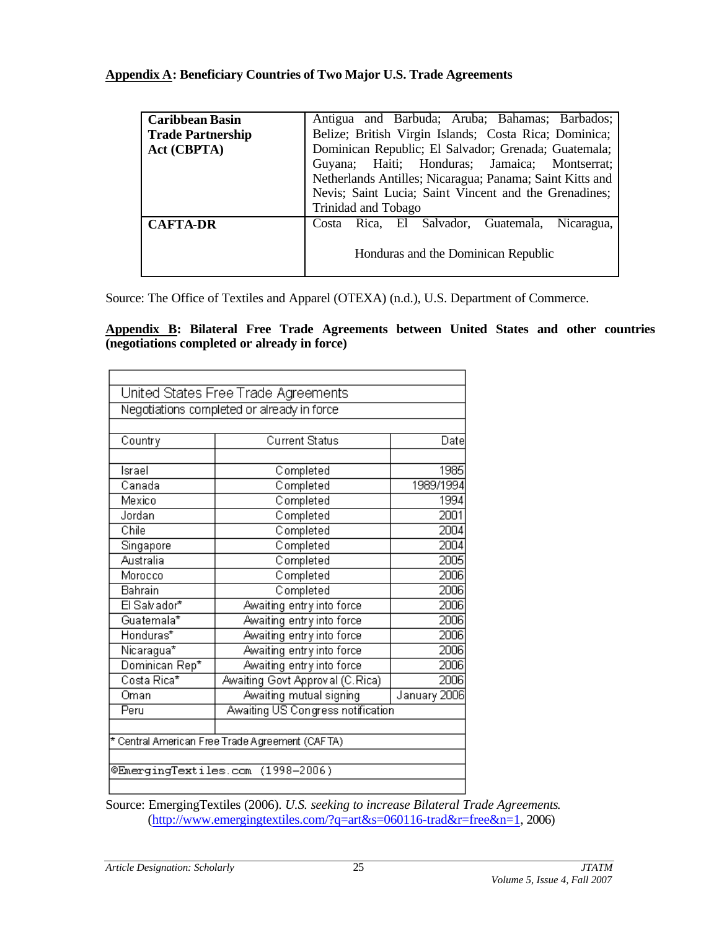# **Appendix A: Beneficiary Countries of Two Major U.S. Trade Agreements**

| <b>Caribbean Basin</b>   | Antigua and Barbuda; Aruba; Bahamas; Barbados;           |
|--------------------------|----------------------------------------------------------|
| <b>Trade Partnership</b> | Belize; British Virgin Islands; Costa Rica; Dominica;    |
| Act (CBPTA)              | Dominican Republic; El Salvador; Grenada; Guatemala;     |
|                          | Guyana; Haiti; Honduras; Jamaica; Montserrat;            |
|                          | Netherlands Antilles; Nicaragua; Panama; Saint Kitts and |
|                          | Nevis; Saint Lucia; Saint Vincent and the Grenadines;    |
|                          | Trinidad and Tobago                                      |
| <b>CAFTA-DR</b>          | Costa Rica, El Salvador, Guatemala,<br>Nicaragua,        |
|                          | Honduras and the Dominican Republic                      |

Source: The Office of Textiles and Apparel (OTEXA) (n.d.), U.S. Department of Commerce.

**Appendix B: Bilateral Free Trade Agreements between United States and other countries (negotiations completed or already in force)**

|                | Negotiations completed or already in force      |              |
|----------------|-------------------------------------------------|--------------|
| Country        | <b>Current Status</b>                           | Date         |
| İsrael         | Completed                                       | 1985         |
| Canada         | Completed                                       | 1989/1994    |
| Mexico         | Completed                                       | 1994         |
| Jordan         | Completed                                       | 2001         |
| Chile          | Completed                                       | 2004         |
| Singapore      | Completed                                       | 2004         |
| Australia      | Completed                                       | 2005         |
| Morocco        | Completed                                       | 2006         |
| Bahrain        | Completed                                       | 2006         |
| El Salvador*   | Awaiting entry into force                       | 2006         |
| Guatemala*     | Awaiting entry into force                       | 2006         |
| Honduras*      | Awaiting entry into force                       | 2006         |
| Nicaragua*     | Awaiting entry into force                       | 2006         |
| Dominican Rep* | Awaiting entry into force                       | 2006         |
| Costa Rica*    | Awaiting Govt Approval (C.Rica)                 | 2006         |
| Oman           | Awaiting mutual signing                         | January 2006 |
| Peru           | Awaiting US Congress notification               |              |
|                | * Central American Free Trade Agreement (CAFTA) |              |

Source: EmergingTextiles (2006). *U.S. seeking to increase Bilateral Trade Agreements*. (http://www.emergingtextiles.com/?q=art&s=060116-trad&r=free&n=1, 2006)